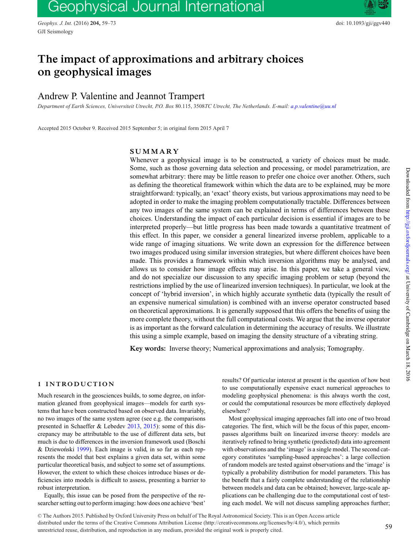# Geophysical Journal International

*Geophys. J. Int.* (2016) **204,** 59–73 doi: 10.1093/gji/ggv440 GJI Seismology

## **The impact of approximations and arbitrary choices on geophysical images**

### Andrew P. Valentine and Jeannot Trampert

*Department of Earth Sciences, Universiteit Utrecht, P.O. Box* 80.115, 3508*TC Utrecht, The Netherlands. E-mail: [a.p.valentine@uu.nl](mailto:a.p.valentine@uu.nl)*

Accepted 2015 October 9. Received 2015 September 5; in original form 2015 April 7

### **SUMMARY**

Whenever a geophysical image is to be constructed, a variety of choices must be made. Some, such as those governing data selection and processing, or model parametrization, are somewhat arbitrary: there may be little reason to prefer one choice over another. Others, such as defining the theoretical framework within which the data are to be explained, may be more straightforward: typically, an 'exact' theory exists, but various approximations may need to be adopted in order to make the imaging problem computationally tractable. Differences between any two images of the same system can be explained in terms of differences between these choices. Understanding the impact of each particular decision is essential if images are to be interpreted properly—but little progress has been made towards a quantitative treatment of this effect. In this paper, we consider a general linearized inverse problem, applicable to a wide range of imaging situations. We write down an expression for the difference between two images produced using similar inversion strategies, but where different choices have been made. This provides a framework within which inversion algorithms may be analysed, and allows us to consider how image effects may arise. In this paper, we take a general view, and do not specialize our discussion to any specific imaging problem or setup (beyond the restrictions implied by the use of linearized inversion techniques). In particular, we look at the concept of 'hybrid inversion', in which highly accurate synthetic data (typically the result of an expensive numerical simulation) is combined with an inverse operator constructed based on theoretical approximations. It is generally supposed that this offers the benefits of using the more complete theory, without the full computational costs. We argue that the inverse operator is as important as the forward calculation in determining the accuracy of results. We illustrate this using a simple example, based on imaging the density structure of a vibrating string.

**Key words:** Inverse theory; Numerical approximations and analysis; Tomography.

#### **1 INTRODUCTION**

Much research in the geosciences builds, to some degree, on information gleaned from geophysical images—models for earth systems that have been constructed based on observed data. Invariably, no two images of the same system agree (see e.g. the comparisons presented in Schaeffer & Lebedev [2013,](#page-14-0) [2015\)](#page-14-1): some of this discrepancy may be attributable to the use of different data sets, but much is due to differences in the inversion framework used (Boschi & Dziewoński [1999\)](#page-14-2). Each image is valid, in so far as each represents the model that best explains a given data set, within some particular theoretical basis, and subject to some set of assumptions. However, the extent to which these choices introduce biases or deficiencies into models is difficult to assess, presenting a barrier to robust interpretation.

Equally, this issue can be posed from the perspective of the researcher setting out to perform imaging: how does one achieve 'best'

results? Of particular interest at present is the question of how best to use computationally expensive exact numerical approaches to modeling geophysical phenomena: is this always worth the cost, or could the computational resources be more effectively deployed elsewhere?

Most geophysical imaging approaches fall into one of two broad categories. The first, which will be the focus of this paper, encompasses algorithms built on linearized inverse theory: models are iteratively refined to bring synthetic (predicted) data into agreement with observations and the 'image' is a single model. The second category constitutes 'sampling-based approaches': a large collection of random models are tested against observations and the 'image' is typically a probability distribution for model parameters. This has the benefit that a fairly complete understanding of the relationship between models and data can be obtained; however, large-scale applications can be challenging due to the computational cost of testing each model. We will not discuss sampling approaches further;

Downloaded from http://gji.oxfordjournals.org/ at University of Cambridge on March 18, 2016 Downloaded from <http://gji.oxfordjournals.org/> at University of Cambridge on March 18, 2016

⃝<sup>C</sup> The Authors 2015. Published by Oxford University Press on behalf of The Royal Astronomical Society. This is an Open Access article distributed under the terms of the Creative Commons Attribution License (http://creativecommons.org/licenses/by/4.0/), which permits unrestricted reuse, distribution, and reproduction in any medium, provided the original work is properly cited. 59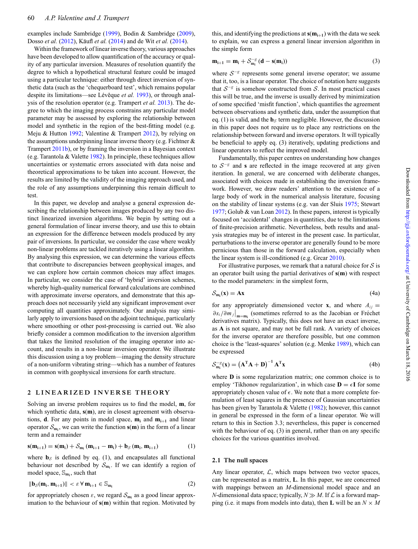examples include Sambridge [\(1999\)](#page-14-3), Bodin & Sambridge [\(2009\)](#page-14-4), Dosso *et al.* [\(2012\)](#page-14-5), Käufl *et al.* [\(2014\)](#page-14-7) and de Wit *et al.* (2014).

Within the framework of linear inverse theory, various approaches have been developed to allow quantification of the accuracy or quality of any particular inversion. Measures of resolution quantify the degree to which a hypothetical structural feature could be imaged using a particular technique: either through direct inversion of synthetic data (such as the 'chequerboard test', which remains popular despite its limitations—see Lévêque *et al.* [1993\)](#page-14-8), or through analysis of the resolution operator (e.g. Trampert *et al.* [2013\)](#page-14-9). The degree to which the imaging process constrains any particular model parameter may be assessed by exploring the relationship between model and synthetic in the region of the best-fitting model (e.g. Meju & Hutton [1992;](#page-14-10) Valentine & Trampert [2012\)](#page-14-11), by relying on the assumptions underpinning linear inverse theory (e.g. Fichtner & Trampert [2011b\)](#page-14-12), or by framing the inversion in a Bayesian context (e.g. Tarantola & Valette [1982\)](#page-14-13). In principle, these techniques allow uncertainties or systematic errors associated with data noise and theoretical approximations to be taken into account. However, the results are limited by the validity of the imaging approach used, and the role of any assumptions underpinning this remain difficult to test.

In this paper, we develop and analyse a general expression describing the relationship between images produced by any two distinct linearized inversion algorithms. We begin by setting out a general formulation of linear inverse theory, and use this to obtain an expression for the difference between models produced by any pair of inversions. In particular, we consider the case where weakly non-linear problems are tackled iteratively using a linear algorithm. By analysing this expression, we can determine the various effects that contribute to discrepancies between geophysical images, and we can explore how certain common choices may affect images. In particular, we consider the case of 'hybrid' inversion schemes, whereby high-quality numerical forward calculations are combined with approximate inverse operators, and demonstrate that this approach does not necessarily yield any significant improvement over computing all quantities approximately. Our analysis may similarly apply to inversions based on the adjoint technique, particularly where smoothing or other post-processing is carried out. We also briefly consider a common modification to the inversion algorithm that takes the limited resolution of the imaging operator into account, and results in a non-linear inversion operator. We illustrate this discussion using a toy problem—imaging the density structure of a non-uniform vibrating string—which has a number of features in common with geophysical inversions for earth structure.

#### **2 LINEARIZED INVERSE THEORY**

Solving an inverse problem requires us to find the model, **m**, for which synthetic data,  $s(m)$ , are in closest agreement with observations, **d**. For any points in model space,  $\mathbf{m}_i$  and  $\mathbf{m}_{i+1}$  and linear operator  $S_{m_i}$ , we can write the function  $s(m)$  in the form of a linear term and a remainder

$$
s(m_{i+1}) = s(m_i) + S_{m_i}(m_{i+1} - m_i) + b_{\mathcal{S}}(m_i, m_{i+1})
$$
 (1)

where  $\mathbf{b}_{\mathcal{S}}$  is defined by eq. (1), and encapsulates all functional behaviour not described by  $S_{m_i}$ . If we can identify a region of model space,  $\mathbb{S}_{m_i}$ , such that

$$
\|\mathbf{b}_{\mathcal{S}}(\mathbf{m}_{i}, \mathbf{m}_{i+1})\| < \varepsilon \,\forall \,\mathbf{m}_{i+1} \in \mathbb{S}_{m_{i}}
$$
\n(2)

for appropriately chosen  $\varepsilon$ , we regard  $S_{m_i}$  as a good linear approximation to the behaviour of **s**(**m**) within that region. Motivated by this, and identifying the predictions at  $\mathbf{s}(\mathbf{m}_{i+1})$  with the data we seek to explain, we can express a general linear inversion algorithm in the simple form

$$
\mathbf{m}_{i+1} = \mathbf{m}_i + \mathcal{S}_{m_i}^{-g} (\mathbf{d} - \mathbf{s}(\mathbf{m}_i))
$$
\n(3)

where  $S^{-g}$  represents some general inverse operator; we assume that it, too, is a linear operator. The choice of notation here suggests that *<sup>S</sup>*<sup>−</sup>*<sup>g</sup>* is somehow constructed from *<sup>S</sup>*. In most practical cases this will be true, and the inverse is usually derived by minimization of some specified 'misfit function', which quantifies the agreement between observations and synthetic data, under the assumption that eq. (1) is valid, and the  $\mathbf{b}_{\mathcal{S}}$  term negligible. However, the discussion in this paper does not require us to place any restrictions on the relationship between forward and inverse operators. It will typically be beneficial to apply eq. (3) iteratively, updating predictions and linear operators to reflect the improved model.

Fundamentally, this paper centres on understanding how changes to *<sup>S</sup>*<sup>−</sup>*<sup>g</sup>* and **<sup>s</sup>** are reflected in the image recovered at any given iteration. In general, we are concerned with deliberate changes, associated with choices made in establishing the inversion framework. However, we draw readers' attention to the existence of a large body of work in the numerical analysis literature, focusing on the stability of linear systems (e.g. van der Sluis [1975;](#page-14-14) Stewart [1977;](#page-14-15) Golub & van Loan [2012\)](#page-14-16). In these papers, interest is typically focused on 'accidental' changes in quantities, due to the limitations of finite-precision arithmetic. Nevertheless, both results and analysis strategies may be of interest in the present case. In particular, perturbations to the inverse operator are generally found to be more pernicious than those in the forward calculation, especially when the linear system is ill-conditioned (e.g. Grcar [2010\)](#page-14-17).

For illustrative purposes, we remark that a natural choice for *S* is an operator built using the partial derivatives of **s**(**m**) with respect to the model parameters: in the simplest form,

$$
S_{m_i}(\mathbf{x}) = \mathbf{A}\mathbf{x} \tag{4a}
$$

for any appropriately dimensioned vector **x**, and where  $A_{ij} =$ ∂*s<sub>i</sub>* /∂*m j*  $\Big|_{m=m_i}$  (sometimes referred to as the Jacobian or Frechet derivatives matrix). Typically, this does not have an exact inverse, as **A** is not square, and may not be full rank. A variety of choices for the inverse operator are therefore possible, but one common choice is the 'least-squares' solution (e.g. Menke [1989\)](#page-14-18), which can be expressed

$$
S_{m_i}^{-g}(x) = (A^T A + D)^{-1} A^T x
$$
\n(4b)

where **D** is some regularization matrix; one common choice is to employ 'Tikhonov regularization', in which case  $D = \epsilon I$  for some appropriately chosen value of  $\epsilon$ . We note that a more complete formulation of least squares in the presence of Gaussian uncertainties has been given by Tarantola & Valette [\(1982\)](#page-14-13); however, this cannot in general be expressed in the form of a linear operator. We will return to this in Section 3.3; nevertheless, this paper is concerned with the behaviour of eq. (3) in general, rather than on any specific choices for the various quantities involved.

#### **2.1 The null spaces**

Any linear operator,  $\mathcal{L}$ , which maps between two vector spaces, can be represented as a matrix, **L**. In this paper, we are concerned with mappings between an *M*-dimensional model space and an *N*-dimensional data space; typically,  $N \gg M$ . If  $\mathcal L$  is a forward mapping (i.e. it maps from models into data), then **L** will be an  $N \times M$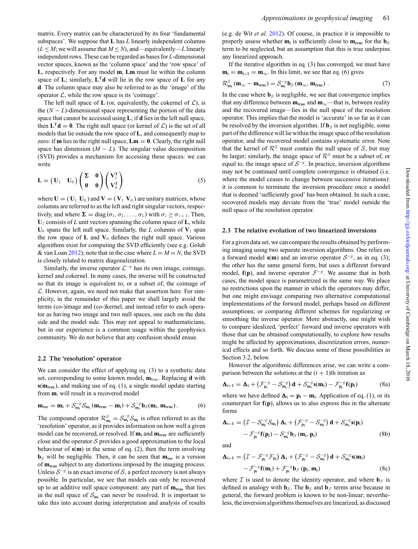matrix. Every matrix can be characterized by its four 'fundamental subspaces'. We suppose that **L** has *L* linearly independent columns  $(L \leq M$ ; we will assume that  $M \leq N$ ), and—equivalently—*L* linearly independent rows. These can be regarded as bases for *L*-dimensional vector spaces, known as the 'column space' and the 'row space' of **L**, respectively. For any model **m**, **Lm** must lie within the column space of **L**; similarly, **LTd** will lie in the row space of **L** for any **d**. The column space may also be referred to as the 'image' of the operator *L*, while the row space is its 'coimage'.

The left null space of **L** (or, equivalently, the cokernel of  $\mathcal{L}$ ), is the  $(N - L)$ -dimensional space representing the portion of the data space that cannot be accessed using **L**; if **d** lies in the left null space, then  $L^{T}d = 0$ . The right null space (or kernel of  $\mathcal{L}$ ) is the set of all models that lie outside the row space of **L**, and consequently map to zero: if **m** lies in the right null space,  $\mathbf{L}\mathbf{m} = \mathbf{0}$ . Clearly, the right null space has dimension  $(M - L)$ . The singular value decomposition (SVD) provides a mechanism for accessing these spaces: we can write

$$
\mathbf{L} = (\mathbf{U}_1 \quad \mathbf{U}_0) \begin{pmatrix} \Sigma & \mathbf{0} \\ \mathbf{0} & \mathbf{0} \end{pmatrix} \begin{pmatrix} \mathbf{V}_1^{\mathrm{T}} \\ \mathbf{V}_0^{\mathrm{T}} \end{pmatrix} \tag{5}
$$

where  $U = (U_1 \ U_0)$  and  $V = (V_1 \ V_0)$  are unitary matrices, whose columns are referred to as the left and right singular vectors, respectively, and where  $\Sigma = \text{diag}(\sigma_1, \sigma_2, \ldots, \sigma_L)$  with  $\sigma_i \ge \sigma_{i+1}$ . Then,  $U_1$  consists of *L* unit vectors spanning the column space of **L**, while  $U_0$  spans the left null space. Similarly, the *L* columns of  $V_1$  span the row space of **L** and  $V_0$  defines the right null space. Various algorithms exist for computing the SVD efficiently (see e.g. Golub & van Loan [2012\)](#page-14-16); note that in the case where  $L = M = N$ , the SVD is closely related to matrix diagonalization.

Similarly, the inverse operator  $\mathcal{L}^{-g}$  has its own image, coimage, kernel and cokernel. In many cases, the inverse will be constructed so that its image is equivalent to, or a subset of, the coimage of *L*. However, again, we need not make that assertion here. For simplicity, in the remainder of this paper we shall largely avoid the terms (co-)image and (co-)kernel, and instead refer to each operator as having two image and two null spaces, one each on the data side and the model side. This may not appeal to mathematicians, but in our experience is a common usage within the geophysics community. We do not believe that any confusion should ensue.

#### **2.2 The 'resolution' operator**

We can consider the effect of applying eq. (3) to a synthetic data set, corresponding to some known model,  $m_{true}$ . Replacing **d** with **s**(**mtrue**), and making use of eq. (1), a single model update starting from **m**<sup>i</sup> will result in a recovered model

$$
\mathbf{m}_{\text{rec}} = \mathbf{m}_{i} + \mathcal{S}_{m_{i}}^{-g} \mathcal{S}_{m_{i}} \left( \mathbf{m}_{\text{true}} - \mathbf{m}_{i} \right) + \mathcal{S}_{m_{i}}^{-g} \mathbf{b}_{\mathcal{S}} (\mathbf{m}_{i}, \mathbf{m}_{\text{true}}). \tag{6}
$$

The compound operator  $\mathcal{R}_{m_i}^S = \mathcal{S}_{m_i}^{-g} \mathcal{S}_{m_i}$  is often referred to as the 'resolution' operator, as it provides information on how well a given model can be recovered, or resolved. If  $\mathbf{m}_i$  and  $\mathbf{m}_{true}$  are sufficiently close and the operator *S* provides a good approximation to the local behaviour of **s**(**m**) in the sense of eq. (2), then the term involving  $\mathbf{b}_{\mathcal{S}}$  will be negligible. Then, it can be seen that  $\mathbf{m}_{\text{rec}}$  is a version of **m**<sub>true</sub> subject to any distortions imposed by the imaging process. Unless  $S^{-g}$  is an exact inverse of S, a perfect recovery is not always possible. In particular, we see that models can only be recovered up to an additive null space component: any part of  $m_{true}$  that lies in the null space of  $S_{m_i}$  can never be resolved. It is important to take this into account during interpretation and analysis of results (e.g. de Wit *et al.* [2012\)](#page-14-19). Of course, in practice it is impossible to properly assess whether  $\mathbf{m}_i$  is sufficiently close to  $\mathbf{m}_{true}$  for the  $\mathbf{b}_{\mathcal{S}}$ term to be neglected, but an assumption that this is true underpins any linearized approach.

If the iterative algorithm in eq. (3) has converged, we must have  $m_i = m_{i+1} = m_\infty$ . In this limit, we see that eq. (6) gives

$$
\mathcal{R}_{m_i}^{\mathcal{S}}\left(\mathbf{m}_{\infty} - \mathbf{m}_{\text{true}}\right) = \mathcal{S}_{m_i}^{-g} \mathbf{b}_{\mathcal{S}}\left(\mathbf{m}_{\infty}, \mathbf{m}_{\text{true}}\right) . \tag{7}
$$

In the case where  $\mathbf{b}_S$  is negligible, we see that convergence implies that any difference between  $\mathbf{m}_{true}$  and  $\mathbf{m}_{\infty}$ —that is, between reality and the recovered image—lies in the null space of the resolution operator. This implies that the model is 'accurate' in so far as it can be resolved by the inversion algorithm. If  $\mathbf{b}_{\mathcal{S}}$  is not negligible, some part of the difference will lie within the image space of the resolution operator, and the recovered model contains systematic error. Note that the kernel of  $\mathcal{R}^{\mathcal{S}}$  must contain the null space of *S*, but may be larger; similarly, the image space of  $\mathcal{R}^{\mathcal{S}}$  must be a subset of, or equal to, the image space of  $S^{-g}$ . In practice, inversion algorithms may not be continued until complete convergence is obtained (i.e. where the model ceases to change between successive iterations): it is common to terminate the inversion procedure once a model that is deemed 'sufficiently good' has been obtained. In such a case, recovered models may deviate from the 'true' model outside the null space of the resolution operator.

#### **2.3 The relative evolution of two linearized inversions**

For a given data set, we can compare the results obtained by performing imaging using two separate inversion algorithms. One relies on a forward model  $s(m)$  and an inverse operator  $S^{-g}$ , as in eq. (3); the other has the same general form, but uses a different forward model,  $f(p)$ , and inverse operator  $\mathcal{F}^{-g}$ . We assume that in both cases, the model space is parametrized in the same way. We place no restrictions upon the manner in which the operators may differ, but one might envisage comparing two alternative computational implementations of the forward model, perhaps based on different assumptions; or comparing different schemes for regularizing or smoothing the inverse operator. More abstractly, one might wish to compare idealized, 'perfect' forward and inverse operators with those that can be obtained computationally, to explore how results might be affected by approximations, discretization errors, numerical effects and so forth. We discuss some of these possibilities in Section 3.2, below.

However the algorithmic differences arise, we can write a comparison between the solutions at the  $(i + 1)$ th iteration as

$$
\Delta_{i+1} = \Delta_i + \left(\mathcal{F}_{p_i}^{-g} - \mathcal{S}_{m_i}^{-g}\right) d + \mathcal{S}_{m_i}^{-g} s(m_i) - \mathcal{F}_{p_i}^{-g} f(p_i) \tag{8a}
$$

where we have defined  $\mathbf{\Delta}_i = \mathbf{p}_i - \mathbf{m}_i$ . Application of eq. (1), or its counterpart for **f**(**p**), allows us to also express this in the alternate forms

$$
\Delta_{i+1} = (\mathcal{I} - \mathcal{S}_{m_i}^{-g} \mathcal{S}_{m_i}) \Delta_i + (\mathcal{F}_{p_i}^{-g} - \mathcal{S}_{m_i}^{-g}) d + \mathcal{S}_{m_i}^{-g} s(p_i)
$$

$$
- \mathcal{F}_{p_i}^{-g} f(p_i) - \mathcal{S}_{m_i}^{-g} b_{\mathcal{S}} (m_i, p_i)
$$
(8b)

and

$$
\Delta_{i+1} = (\mathcal{I} - \mathcal{F}_{pi}^{-g} \mathcal{F}_{p_i}) \Delta_i + (\mathcal{F}_{pi}^{-g} - \mathcal{S}_{m_i}^{-g}) d + \mathcal{S}_{m_i}^{-g} s(m_i)
$$
  
-  $\mathcal{F}_{pi}^{-g} f(m_i) + \mathcal{F}_{pi}^{-g} b_{\mathcal{F}} (p_i, m_i)$  (8c)

where *I* is used to denote the identity operator, and where  $\mathbf{b}_{\mathcal{F}}$  is defined in analogy with  $\mathbf{b}_{\mathcal{S}}$ . The  $\mathbf{b}_{\mathcal{S}}$  and  $\mathbf{b}_{\mathcal{F}}$  terms arise because in general, the forward problem is known to be non-linear; nevertheless, the inversion algorithms themselves are linearized, as discussed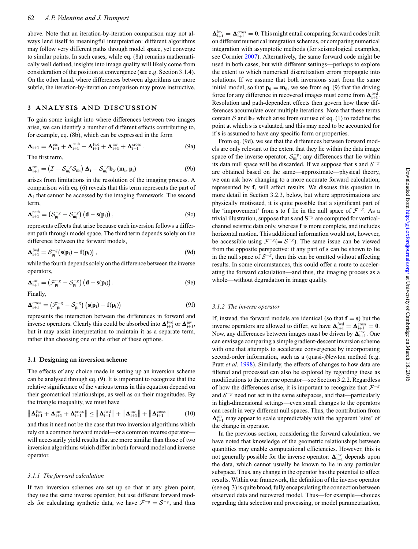above. Note that an iteration-by-iteration comparison may not always lend itself to meaningful interpretation: different algorithms may follow very different paths through model space, yet converge to similar points. In such cases, while eq. (8a) remains mathematically well defined, insights into image quality will likely come from consideration of the position at convergence (see e.g. Section 3.1.4). On the other hand, where differences between algorithms are more subtle, the iteration-by-iteration comparison may prove instructive.

#### **3 ANALYSIS AND DISCUSSION**

To gain some insight into where differences between two images arise, we can identify a number of different effects contributing to, for example, eq. (8b), which can be expressed in the form

$$
\Delta_{i+1} = \Delta_{i+1}^{\text{res}} + \Delta_{i+1}^{\text{path}} + \Delta_{i+1}^{\text{fwd}} + \Delta_{i+1}^{\text{inv}} + \Delta_{i+1}^{\text{cross}}.
$$
\n(9a)

The first term, 
$$
\frac{1}{2}
$$

$$
\mathbf{\Delta}_{i+1}^{\text{res}} = \left(\mathcal{I} - \mathcal{S}_{m_i}^{-g} \mathcal{S}_{m_i}\right) \mathbf{\Delta}_i - \mathcal{S}_{m_i}^{-g} \mathbf{b}_{\mathcal{S}} \left(\mathbf{m}_i, \mathbf{p}_i\right) \tag{9b}
$$

arises from limitations in the resolution of the imaging process. A comparison with eq. (6) reveals that this term represents the part of  $\Delta_i$  that cannot be accessed by the imaging framework. The second term,

$$
\Delta_{i+1}^{\text{path}} = \left( \mathcal{S}_{p_i}^{-g} - \mathcal{S}_{m_i}^{-g} \right) \left( \mathbf{d} - \mathbf{s}(p_i) \right),\tag{9c}
$$

represents effects that arise because each inversion follows a different path through model space. The third term depends solely on the difference between the forward models,

$$
\Delta_{i+1}^{\text{fwd}} = \mathcal{S}_{p_i}^{-g} \big( \mathbf{s}(\mathbf{p}_i) - \mathbf{f}(\mathbf{p}_i) \big) \,, \tag{9d}
$$

while the fourth depends solely on the difference between the inverse operators,

$$
\Delta_{i+1}^{\text{inv}} = \left(\mathcal{F}_{pi}^{-g} - \mathcal{S}_{pi}^{-g}\right) \left(\mathbf{d} - \mathbf{s}(\mathbf{p}_i)\right). \tag{9e}
$$

Finally,

$$
\Delta_{i+1}^{\text{cross}} = \left(\mathcal{F}_{pi}^{-g} - \mathcal{S}_{pi}^{-g}\right) \left(\mathbf{s}(\mathbf{p}_i) - \mathbf{f}(\mathbf{p}_i)\right) \tag{9f}
$$

represents the interaction between the differences in forward and inverse operators. Clearly this could be absorbed into  $\Delta_{i+1}^{\text{fwd}}$  or  $\Delta_{i+1}^{\text{inv}}$ , but it may assist interpretation to maintain it as a separate term, rather than choosing one or the other of these options.

#### **3.1 Designing an inversion scheme**

The effects of any choice made in setting up an inversion scheme can be analysed through eq. (9). It is important to recognize that the relative significance of the various terms in this equation depend on their geometrical relationships, as well as on their magnitudes. By the triangle inequality, we must have

$$
\left\| \boldsymbol{\Delta}_{i+1}^{fwd} + \boldsymbol{\Delta}_{i+1}^{inv} + \boldsymbol{\Delta}_{i+1}^{cross} \right\| \le \left\| \boldsymbol{\Delta}_{i+1}^{fwd} \right\| + \left\| \boldsymbol{\Delta}_{i+1}^{inv} \right\| + \left\| \boldsymbol{\Delta}_{i+1}^{cross} \right\| \tag{10}
$$

and thus it need not be the case that two inversion algorithms which rely on a common forward model—or a common inverse operator will necessarily yield results that are more similar than those of two inversion algorithms which differ in both forward model and inverse operator.

#### *3.1.1 The forward calculation*

If two inversion schemes are set up so that at any given point, they use the same inverse operator, but use different forward models for calculating synthetic data, we have  $\mathcal{F}^{-g} = \mathcal{S}^{-g}$ , and thus

 $\Delta_{i+1}^{inv} = \Delta_{i+1}^{cross} = 0$ . This might entail comparing forward codes built on different numerical integration schemes, or comparing numerical integration with asymptotic methods (for seismological examples, see Cormier [2007\)](#page-14-20). Alternatively, the same forward code might be used in both cases, but with different settings—perhaps to explore the extent to which numerical discretization errors propagate into solutions. If we assume that both inversions start from the same initial model, so that  $\mathbf{p}_0 = \mathbf{m}_0$ , we see from eq. (9) that the driving force for any difference in recovered images must come from  $\Delta_{i+1}^{\text{fwd}}$ . Resolution and path-dependent effects then govern how these differences accumulate over multiple iterations. Note that these terms contain  $S$  and  $\mathbf{b}_S$  which arise from our use of eq. (1) to redefine the point at which **s** is evaluated, and this may need to be accounted for if **s** is assumed to have any specific form or properties.

From eq. (9d), we see that the differences between forward models are only relevant to the extent that they lie within the data image space of the inverse operator,  $S_{m_i}^{-g}$ ; any differences that lie within its data null space will be discarded. If we suppose that **<sup>s</sup>** and *<sup>S</sup>*<sup>−</sup>*<sup>g</sup>* are obtained based on the same—approximate—physical theory, we can ask how changing to a more accurate forward calculation, represented by **f**, will affect results. We discuss this question in more detail in Section 3.2.3, below, but where approximations are physically motivated, it is quite possible that a significant part of the 'improvement' from **s** to **f** lie in the null space of  $\mathcal{F}^{-g}$ . As a trivial illustration, suppose that **s** and **S**−*<sup>g</sup>* are computed for verticalchannel seismic data only, whereas**f** is more complete, and includes horizontal motion. This additional information would not, however, be accessible using  $\mathcal{F}^{-g} (= \mathcal{S}^{-g})$ . The same issue can be viewed from the opposite perspective: if any part of **s** can be shown to lie in the null space of  $S^{-g}$ , then this can be omitted without affecting results. In some circumstances, this could offer a route to accelerating the forward calculation—and thus, the imaging process as a whole—without degradation in image quality.

#### *3.1.2 The inverse operator*

If, instead, the forward models are identical (so that  $f = s$ ) but the inverse operators are allowed to differ, we have  $\Delta_{i+1}^{\text{fwd}} = \Delta_{i+1}^{\text{cross}} = 0$ . Now, any differences between images must be driven by  $\mathbf{\Delta}_{i+1}^{inv}$ . One can envisage comparing a simple gradient-descent inversion scheme with one that attempts to accelerate convergence by incorporating second-order information, such as a (quasi-)Newton method (e.g. Pratt *et al.* [1998\)](#page-14-21). Similarly, the effects of changes to how data are filtered and processed can also be explored by regarding these as modifications to the inverse operator—see Section 3.2.2. Regardless of how the differences arise, it is important to recognize that *<sup>F</sup>*<sup>−</sup>*<sup>g</sup>* and *<sup>S</sup>*<sup>−</sup>*<sup>g</sup>* need not act in the same subspaces, and that—particularly in high-dimensional settings—even small changes to the operators can result in very different null spaces. Thus, the contribution from  $\Delta_{i+1}^{inv}$  may appear to scale unpredictably with the apparent 'size' of the change in operator.

In the previous section, considering the forward calculation, we have noted that knowledge of the geometric relationships between quantities may enable computational efficiencies. However, this is not generally possible for the inverse operator:  $\mathbf{\Delta}_{i+1}^{\text{inv}}$  depends upon the data, which cannot usually be known to lie in any particular subspace. Thus, any change in the operator has the potential to affect results. Within our framework, the definition of the inverse operator (see eq. 3) is quite broad, fully encapsulating the connection between observed data and recovered model. Thus—for example—choices regarding data selection and processing, or model parametrization,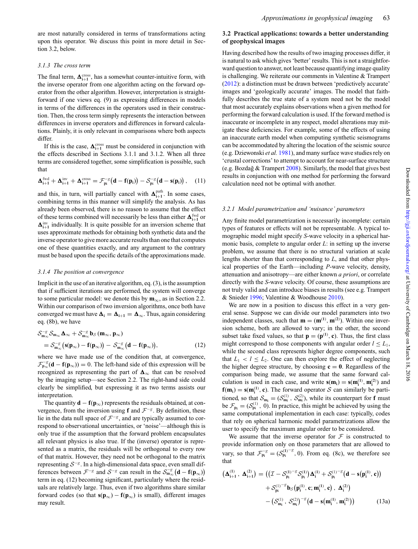are most naturally considered in terms of transformations acting upon this operator. We discuss this point in more detail in Section 3.2, below.

#### *3.1.3 The cross term*

The final term,  $\Delta_{i+1}^{\text{cross}}$ , has a somewhat counter-intuitive form, with the inverse operator from one algorithm acting on the forward operator from the other algorithm. However, interpretation is straightforward if one views eq. (9) as expressing differences in models in terms of the differences in the operators used in their construction. Then, the cross term simply represents the interaction between differences in inverse operators and differences in forward calculations. Plainly, it is only relevant in comparisons where both aspects differ.

If this is the case,  $\mathbf{\Delta}_{i+1}^{\text{cross}}$  must be considered in conjunction with the effects described in Sections 3.1.1 and 3.1.2. When all three terms are considered together, some simplification is possible, such that

$$
\boldsymbol{\Delta}_{i+1}^{\text{fwd}} + \boldsymbol{\Delta}_{i+1}^{\text{inv}} + \boldsymbol{\Delta}_{i+1}^{\text{cross}} = \mathcal{F}_{p_i}^{-g} \big( \mathbf{d} - \mathbf{f}(p_i) \big) - \mathcal{S}_{p_i}^{-g} \big( \mathbf{d} - \mathbf{s}(p_i) \big) \,, \quad (11)
$$

and this, in turn, will partially cancel with  $\mathbf{\Delta}_{i+1}^{\text{path}}$ . In some cases, combining terms in this manner will simplify the analysis. As has already been observed, there is no reason to assume that the effect of these terms combined will necessarily be less than either  $\Delta_{i+1}^{fwd}$  or  $\Delta_{i+1}^{\text{inv}}$  individually. It is quite possible for an inversion scheme that uses approximate methods for obtaining both synthetic data and the inverse operator to give more accurate results than one that computes one of these quantities exactly, and any argument to the contrary must be based upon the specific details of the approximations made.

#### *3.1.4 The position at convergence*

Implicit in the use of an iterative algorithm, eq. (3), is the assumption that if sufficient iterations are performed, the system will converge to some particular model: we denote this by **m**∞, as in Section 2.2. Within our comparison of two inversion algorithms, once both have converged we must have  $\Delta_i = \Delta_{i+1} = \Delta_{\infty}$ . Thus, again considering eq. (8b), we have

$$
\begin{split} \mathcal{S}_{\mathbf{m}_{\infty}}^{-g} \mathcal{S}_{\mathbf{m}_{\infty}} \mathbf{\Delta}_{\infty} + \mathcal{S}_{\mathbf{m}_{\infty}}^{-g} \mathbf{b}_{\mathcal{S}} (\mathbf{m}_{\infty}, \mathbf{p}_{\infty}) \\ &= \mathcal{S}_{\mathbf{m}_{\infty}}^{-g} (\mathbf{s}(\mathbf{p}_{\infty}) - \mathbf{f}(\mathbf{p}_{\infty})) - \mathcal{S}_{\mathbf{m}_{\infty}}^{-g} (\mathbf{d} - \mathbf{f}(\mathbf{p}_{\infty})), \end{split} \tag{12}
$$

where we have made use of the condition that, at convergence,  $\mathcal{F}_{\mathbf{p}_{\infty}}^{-g}(\mathbf{d} - \mathbf{f}(\mathbf{p}_{\infty})) = 0$ . The left-hand side of this expression will be recognized as representing the part of  $\Delta_{\infty}$  that can be resolved by the imaging setup—see Section 2.2. The right-hand side could clearly be simplified, but expressing it as two terms assists our interpretation.

The quantity  $\mathbf{d} - \mathbf{f}(\mathbf{p}_{\infty})$  represents the residuals obtained, at convergence, from the inversion using **<sup>f</sup>** and *<sup>F</sup>*<sup>−</sup>*<sup>g</sup>*. By definition, these lie in the data null space of *<sup>F</sup>*<sup>−</sup>*<sup>g</sup>*, and are typically assumed to correspond to observational uncertainties, or 'noise'—although this is only true if the assumption that the forward problem encapsulates all relevant physics is also true. If the (inverse) operator is represented as a matrix, the residuals will be orthogonal to every row of that matrix. However, they need not be orthogonal to the matrix representing *<sup>S</sup>*<sup>−</sup>*<sup>g</sup>*. In a high-dimensional data space, even small differences between  $\mathcal{F}^{-g}$  and  $\mathcal{S}^{-g}$  can result in the  $\mathcal{S}^{-g}_{m_{\infty}}(\mathbf{d} - \mathbf{f}(\mathbf{p}_{\infty}))$ term in eq. (12) becoming significant, particularly where the residuals are relatively large. Thus, even if two algorithms share similar forward codes (so that  $\mathbf{s}(\mathbf{p}_{\infty}) - \mathbf{f}(\mathbf{p}_{\infty})$  is small), different images may result.

#### **3.2 Practical applications: towards a better understanding of geophysical images**

Having described how the results of two imaging processes differ, it is natural to ask which gives 'better' results. This is not a straightforward question to answer, not least because quantifying image quality is challenging. We reiterate our comments in Valentine & Trampert [\(2012\)](#page-14-11): a distinction must be drawn between 'predictively accurate' images and 'geologically accurate' images. The model that faithfully describes the true state of a system need not be the model that most accurately explains observations when a given method for performing the forward calculation is used. If the forward method is inaccurate or incomplete in any respect, model alterations may mitigate these deficiencies. For example, some of the effects of using an inaccurate earth model when computing synthetic seismograms can be accommodated by altering the location of the seismic source (e.g. Dziewonski *et al.* [1981\)](#page-14-22), and many surface wave studies rely on 'crustal corrections' to attempt to account for near-surface structure (e.g. Bozdağ  $&$  Trampert [2008\)](#page-14-23). Similarly, the model that gives best results in conjunction with one method for performing the forward calculation need not be optimal with another.

#### *3.2.1 Model parametrization and 'nuisance' parameters*

Any finite model parametrization is necessarily incomplete: certain types of features or effects will not be representable. A typical tomographic model might specify *S*-wave velocity in a spherical harmonic basis, complete to angular order *L*: in setting up the inverse problem, we assume that there is no structural variation at scale lengths shorter than that corresponding to *L*, and that other physical properties of the Earth—including *P*-wave velocity, density, attenuation and anisotropy—are either known *a priori*, or correlate directly with the *S*-wave velocity. Of course, these assumptions are not truly valid and can introduce biases in results (see e.g. Trampert & Snieder [1996;](#page-14-24) Valentine & Woodhouse [2010\)](#page-14-25).

We are now in a position to discuss this effect in a very general sense. Suppose we can divide our model parameters into two independent classes, such that  $\mathbf{m} = (\mathbf{m}^{(1)}, \mathbf{m}^{(2)})$ . Within one inversion scheme, both are allowed to vary; in the other, the second subset take fixed values, so that  $\mathbf{p} = (\mathbf{p}^{(1)}, \mathbf{c})$ . Thus, the first class might correspond to those components with angular order  $l \leq L_1$ , while the second class represents higher degree components, such that  $L_1 < l \leq L_2$ . One can then explore the effect of neglecting the higher degree structure, by choosing  $\mathbf{c} = \mathbf{0}$ . Regardless of the comparison being made, we assume that the same forward calculation is used in each case, and write  $\mathbf{s}(\mathbf{m}_i) = \mathbf{s}(\mathbf{m}_i^{(1)}, \mathbf{m}_i^{(2)})$  and  $f(m_i) = s(m_i^{(1)}, c)$ . The forward operator *S* can similarly be partitioned, so that  $S_{m_i} = (S_{m_i}^{(1)}, S_{m_i}^{(2)})$ , while its counterpart for **f** must be  $\mathcal{F}_{\mathbf{p_i}} = (\mathcal{S}_{\mathbf{p_i}}^{(1)}, 0)$ . In practice, this might be achieved by using the same computational implementation in each case: typically, codes that rely on spherical harmonic model parametrizations allow the user to specify the maximum angular order to be considered.

We assume that the inverse operator for  $F$  is constructed to provide information only on those parameters that are allowed to vary, so that  $\mathcal{F}_{pi}^{-g} = (S_{pi}^{(1)^{-g}}, 0)$ . From eq. (8c), we therefore see that

$$
\begin{aligned} \left(\Delta_{i+1}^{(1)}\,,\ \Delta_{i+1}^{(2)}\right) &= \left(\left(\mathcal{I}-\mathcal{S}_{p_i}^{(1)^{-g}}\mathcal{S}_{p_i}^{(1)}\right)\Delta_i^{(1)} + \mathcal{S}_{p_i}^{(1)^{-g}}\left(\mathbf{d} - \mathbf{s}\big(\mathbf{p}_i^{(1)}, \mathbf{c}\big)\right) \\ &+ \mathcal{S}_{p_i}^{(1)^{-g}} \mathbf{b}_{\mathcal{S}}\big(\mathbf{p}_i^{(1)}, \mathbf{c}; \mathbf{m}_i^{(1)}, \mathbf{c}\big)\,,\ \Delta_i^{(2)}\right) \\ &- \left(\mathcal{S}_{m_i}^{(1)}\,,\ \mathcal{S}_{m_i}^{(2)}\right)^{-g}\big(\mathbf{d} - \mathbf{s}\big(\mathbf{m}_i^{(1)}, \mathbf{m}_i^{(2)}\big)\big) \end{aligned} \tag{13a}
$$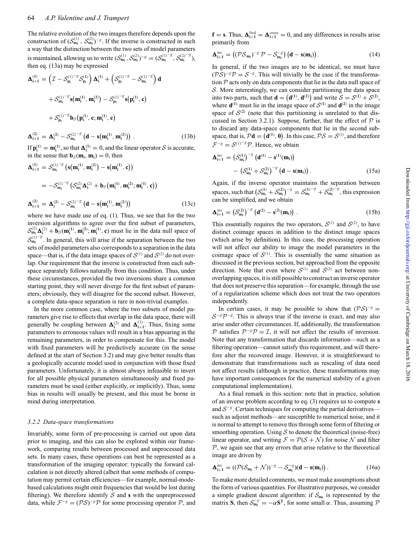The relative evolution of the two images therefore depends upon the construction of  $(S_{m_i}^{(1)}, S_{m_i}^{(2)})^{-g}$ . If the inverse is constructed in such a way that the distinction between the two sets of model parameters is maintained, allowing us to write  $(S_{m_i}^{(1)}, S_{m_i}^{(2)})^{-g} = (S_{m_i}^{(1)-g}, S_{m_i}^{(2)-g}),$ then eq. (13a) may be expressed

$$
\Delta_{i+1}^{(1)} = \left( \mathcal{I} - \mathcal{S}_{p_i}^{(1)-g} \mathcal{S}_{p_i}^{(1)} \right) \Delta_i^{(1)} + \left( \mathcal{S}_{p_i}^{(1)-g} - \mathcal{S}_{m_i}^{(1)-g} \right) d \n+ \mathcal{S}_{m_i}^{(1)-g} s(m_i^{(1)}, m_i^{(2)}) - \mathcal{S}_{p_i}^{(1)-g} s(p_i^{(1)}, c) \n+ \mathcal{S}_{p_i}^{(1)-g} b_{\mathcal{S}}(p_i^{(1)}, c; m_i^{(1)}, c) \n\Delta_{i+1}^{(2)} = \Delta_i^{(2)} - \mathcal{S}_{m_i}^{(2)-g} (d - s(m_i^{(1)}, m_i^{(2)})) .
$$
\n(13b)

If  $\mathbf{p}_i^{(1)} = \mathbf{m}_i^{(1)}$ , so that  $\mathbf{\Delta}_i^{(1)} = 0$ , and the linear operator *S* is accurate, in the sense that  $\mathbf{b}_{S}(\mathbf{m}_{i}, \mathbf{m}_{i}) = 0$ , then

$$
\Delta_{i+1}^{(1)} = S_{m_i}^{(1)-g} \left( s(m_i^{(1)}, m_i^{(2)}) - s(m_i^{(1)}, c) \right)
$$
  
\n
$$
= -S_{m_i}^{(1)-g} \left( S_{m_i}^{(2)} \Delta_i^{(2)} + b_{\mathcal{S}}(m_i^{(1)}, m_i^{(2)}; m_i^{(1)}, c) \right)
$$
  
\n
$$
\Delta_{i+1}^{(2)} = \Delta_i^{(2)} - S_{m_i}^{(2)-g} \left( d - s(m_i^{(1)}, m_i^{(2)}) \right)
$$
(13c)

where we have made use of eq. (1). Thus, we see that for the two inversion algorithms to agree over the first subset of parameters,  $S_{\mathbf{m}i}^{(2)}$   $\mathbf{\Delta}_{i}^{(2)}$  +  $\mathbf{b}_{\mathcal{S}}(\mathbf{m}_{i}^{(1)}, \mathbf{m}_{i}^{(2)}; \mathbf{m}_{i}^{(1)}, \mathbf{c})$  must lie in the data null space of  $S_{m_i}^{(1)}$ <sup>-*g*</sup>. In general, this will arise if the separation between the two sets of model parameters also corresponds to a separation in the data space—that is, if the data image spaces of  $S^{(1)}$  and  $S^{(2)}$  do not overlap. Our requirement that the inverse is constructed from each subspace separately follows naturally from this condition. Thus, under these circumstances, provided the two inversions share a common starting point, they will never diverge for the first subset of parameters; obviously, they will disagree for the second subset. However, a complete data-space separation is rare in non-trivial examples.

In the more common case, where the two subsets of model parameters give rise to effects that overlap in the data space, there will generally be coupling between  $\mathbf{\Delta}_{i+1}^{(2)}$  and  $\mathbf{\Delta}_{i+1}^{(1)}$ . Thus, fixing some parameters to erroneous values will result in a bias appearing in the remaining parameters, in order to compensate for this. The model with fixed parameters will be predictively accurate (in the sense defined at the start of Section 3.2) and may give better results than a geologically accurate model used in conjunction with those fixed parameters. Unfortunately, it is almost always infeasible to invert for all possible physical parameters simultaneously and fixed parameters must be used (either explicitly, or implicitly). Thus, some bias in results will usually be present, and this must be borne in mind during interpretation.

#### *3.2.2 Data-space transformations*

Invariably, some form of pre-processing is carried out upon data prior to imaging, and this can also be explored within our framework, comparing results between processed and unprocessed data sets. In many cases, these operations can best be represented as a transformation of the imaging operator: typically the forward calculation is not directly altered (albeit that some methods of computation may permit certain efficiencies—for example, normal-modebased calculations might omit frequencies that would be lost during filtering). We therefore identify  $S$  and **s** with the unpreprocessed data, while  $\mathcal{F}^{-g} = (\mathcal{P}\mathcal{S})^{-g} \mathcal{P}$  for some processing operator  $\mathcal{P}$ , and

 $f = s$ . Thus,  $\Delta_{i+1}^{\text{fwd}} = \Delta_{i+1}^{\text{cross}} = 0$ , and any differences in results arise primarily from

$$
\Delta_{i+1}^{\text{inv}} = \left( (\mathcal{PS}_{m_i})^{-g} \mathcal{P} - \mathcal{S}_{m_i}^{-g} \right) \left( \mathbf{d} - \mathbf{s}(\mathbf{m}_i) \right). \tag{14}
$$

In general, if the two images are to be identical, we must have  $(PS)^{-g}P = S^{-g}$ . This will trivially be the case if the transformation *P* acts only on data components that lie in the data null space of *S*. More interestingly, we can consider partitioning the data space into two parts, such that **d** =  $(d^{(1)}, d^{(2)})$  and write  $S = S^{(1)} + S^{(2)}$ , where  $\mathbf{d}^{(1)}$  must lie in the image space of  $S^{(1)}$  and  $\mathbf{d}^{(2)}$  in the image space of  $S^{(2)}$  (note that this partitioning is unrelated to that discussed in Section 3.2.1). Suppose, further, that the effect of  $P$  is to discard any data-space components that lie in the second subspace, that is,  $P$ **d** =  $(d^{(1)}, 0)$ . In this case,  $PS = S^{(1)}$ , and therefore  $\mathcal{F}^{-g} = \mathcal{S}^{(1)^{-g}} \mathcal{P}$ . Hence, we obtain

$$
\Delta_{i+1}^{\text{inv}} = \left( \mathcal{S}_{m_i}^{(1)} \right)^{-g} \left( d^{(1)} - s^{(1)}(m_i) \right) - \left( \mathcal{S}_{m_i}^{(1)} + \mathcal{S}_{m_i}^{(2)} \right)^{-g} \left( d - s(m_i) \right).
$$
(15a)

Again, if the inverse operator maintains the separation between spaces, such that  $(S_{m_i}^{(1)} + S_{m_i}^{(2)})^{-g} = S_{m_i}^{(1)-g} + S_{m_i}^{(2)-g}$ , this expression can be simplified, and we obtain

$$
\Delta_{i+1}^{\text{inv}} = \left( S_{m_i}^{(2)} \right)^{-g} \left( d^{(2)} - s^{(2)}(m_i) \right) . \tag{15b}
$$

This essentially requires the two operators,  $S^{(1)}$  and  $S^{(2)}$ , to have distinct coimage spaces in addition to the distinct image spaces (which arise by definition). In this case, the processing operation will not affect our ability to image the model parameters in the coimage space of  $S^{(1)}$ . This is essentially the same situation as discussed in the previous section, but approached from the opposite direction. Note that even where  $S^{(1)}$  and  $S^{(2)}$  act between nonoverlapping spaces, it is still possible to construct an inverse operator that does not preserve this separation—for example, through the use of a regularization scheme which does not treat the two operators independently.

In certain cases, it may be possible to show that  $(PS)^{-g}$  =  $S^{-g}P^{-g}$ . This is always true if the inverse is exact, and may also arise under other circumstances. If, additionally, the transformation *P* satisfies  $P^{-g}P = I$ , it will not affect the results of inversion. Note that any transformation that discards information—such as a filtering operation—cannot satisfy this requirement, and will therefore alter the recovered image. However, it is straightforward to demonstrate that transformations such as rescaling of data need not affect results (although in practice, these transformations may have important consequences for the numerical stability of a given computational implementation).

As a final remark in this section: note that in practice, solution of an inverse problem according to eq. (3) requires us to compute **s** and  $S^{-g}$ . Certain techniques for computing the partial derivatives such as adjoint methods—are susceptible to numerical noise, and it is normal to attempt to remove this through some form of filtering or smoothing operation. Using  $S$  to denote the theoretical (noise-free) linear operator, and writing  $\mathcal{F} = \mathcal{P}(\mathcal{S} + \mathcal{N})$  for noise  $\mathcal N$  and filter *P*, we again see that any errors that arise relative to the theoretical image are driven by

$$
\Delta_{i+1}^{\text{inv}} = ((\mathcal{P}(\mathcal{S}_{m_i} + \mathcal{N}))^{-g} - \mathcal{S}_{m_i}^{-g})(\mathbf{d} - \mathbf{s}(m_i)).
$$
\n(16a)

To make more detailed comments, we must make assumptions about the form of various quantities. For illustrative purposes, we consider a simple gradient descent algorithm: if  $S_{m_i}$  is represented by the matrix **S**, then  $S_{m_i}^{-g} = -\alpha S^T$ , for some small  $\alpha$ . Thus, assuming  $P$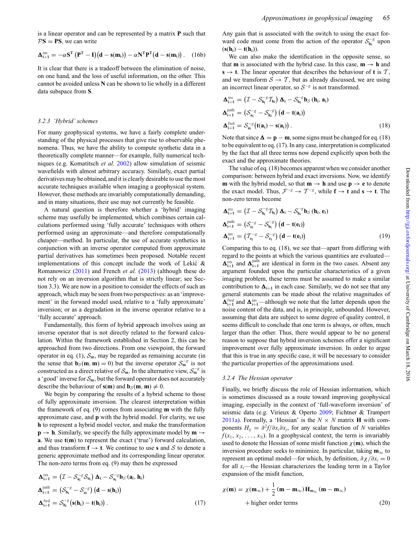is a linear operator and can be represented by a matrix **P** such that  $PS = PS$ , we can write

$$
\Delta_{i+1}^{\text{inv}} = -\alpha S^{T} \left( \mathbf{P}^{T} - \mathbf{I} \right) \left( \mathbf{d} - \mathbf{s}(\mathbf{m}_{i}) \right) - \alpha N^{T} \mathbf{P}^{T} \left( \mathbf{d} - \mathbf{s}(\mathbf{m}_{i}) \right). \quad (16b)
$$

It is clear that there is a tradeoff between the elimination of noise, on one hand, and the loss of useful information, on the other. This cannot be avoided unless **N** can be shown to lie wholly in a different data subspace from **S**.

#### *3.2.3 'Hybrid' schemes*

For many geophysical systems, we have a fairly complete understanding of the physical processes that give rise to observable phenomena. Thus, we have the ability to compute synthetic data in a theoretically complete manner—for example, fully numerical techniques (e.g. Komatitsch *et al.* [2002\)](#page-14-26) allow simulation of seismic wavefields with almost arbitrary accuracy. Similarly, exact partial derivatives may be obtained, and it is clearly desirable to use the most accurate techniques available when imaging a geophysical system. However, these methods are invariably computationally demanding, and in many situations, their use may not currently be feasible.

A natural question is therefore whether a 'hybrid' imaging scheme may usefully be implemented, which combines certain calculations performed using 'fully accurate' techniques with others performed using an approximate—and therefore computationally cheaper—method. In particular, the use of accurate synthetics in conjunction with an inverse operator computed from approximate partial derivatives has sometimes been proposed. Notable recent implementations of this concept include the work of Lekić  $\&$ Romanowicz [\(2011\)](#page-14-27) and French *et al.* [\(2013\)](#page-14-28) (although these do not rely on an inversion algorithm that is strictly linear; see Section 3.3). We are now in a position to consider the effects of such an approach, which may be seen from two perspectives: as an 'improvement' in the forward model used, relative to a 'fully approximate' inversion; or as a degradation in the inverse operator relative to a 'fully accurate' approach.

Fundamentally, this form of hybrid approach involves using an inverse operator that is not directly related to the forward calculation. Within the framework established in Section 2, this can be approached from two directions. From one viewpoint, the forward operator in eq. (1),  $S_m$ , may be regarded as remaining accurate (in the sense that  $\mathbf{b}_{\mathcal{S}}(\mathbf{m}, \mathbf{m}) = 0$ ) but the inverse operator  $S_{\mathbf{m}}^{-g}$  is not constructed as a direct relative of  $S_m$ . In the alternative view,  $S_m^{-g}$  is a 'good' inverse for  $S_m$ , but the forward operator does not accurately describe the behaviour of  $\mathbf{s}(\mathbf{m})$  and  $\mathbf{b}_{\mathcal{S}}(\mathbf{m}, \mathbf{m}) \neq 0$ .

We begin by comparing the results of a hybrid scheme to those of fully approximate inversion. The clearest interpretation within the framework of eq. (9) comes from associating **m** with the fully approximate case, and **p** with the hybrid model. For clarity, we use **h** to represent a hybrid model vector, and make the transformation  $p \rightarrow h$ . Similarly, we specify the fully approximate model by  $m \rightarrow$ **a**. We use **t**(**m**) to represent the exact ('true') forward calculation, and thus transform  $f \rightarrow t$ . We continue to use **s** and *S* to denote a generic approximate method and its corresponding linear operator. The non-zero terms from eq. (9) may then be expressed

$$
\Delta_{i+1}^{\text{res}} = (\mathcal{I} - \mathcal{S}_{a_i}^{-g} \mathcal{S}_{a_i}) \Delta_i - \mathcal{S}_{a_i}^{-g} \mathbf{b}_{\mathcal{S}} (\mathbf{a}_i, \mathbf{h}_i)
$$
  
\n
$$
\Delta_{i+1}^{\text{path}} = (\mathcal{S}_{\mathbf{h}_i}^{-g} - \mathcal{S}_{a_i}^{-g}) (\mathbf{d} - \mathbf{s}(\mathbf{h}_i))
$$
  
\n
$$
\Delta_{i+1}^{\text{fwd}} = \mathcal{S}_{\mathbf{h}_i}^{-g} (\mathbf{s}(\mathbf{h}_i) - \mathbf{t}(\mathbf{h}_i)).
$$
\n(17)

Any gain that is associated with the switch to using the exact forward code must come from the action of the operator  $S_{h_i}^{-g}$  upon  $({\bf s}({\bf h}_i) - {\bf t}({\bf h}_i)).$ 

We can also make the identification in the opposite sense, so that **m** is associated with the hybrid case. In this case,  $\mathbf{m} \rightarrow \mathbf{h}$  and  $s \rightarrow t$ . The linear operator that describes the behaviour of **t** is *T*, and we transform  $S \to T$ , but as already discussed, we are using an incorrect linear operator, so *<sup>S</sup>*<sup>−</sup>*<sup>g</sup>* is not transformed.

$$
\Delta_{i+1}^{\text{res}} = (\mathcal{I} - \mathcal{S}_{\mathbf{h}_i}^{-g} \mathcal{T}_{\mathbf{h}_i}) \Delta_i - \mathcal{S}_{\mathbf{h}_i}^{-g} \mathbf{b}_{\mathcal{S}} (\mathbf{h}_i, \mathbf{a}_i)
$$
  
\n
$$
\Delta_{i+1}^{\text{path}} = (\mathcal{S}_{\mathbf{a}_i}^{-g} - \mathcal{S}_{\mathbf{h}_i}^{-g}) (\mathbf{d} - \mathbf{t}(\mathbf{a}_i))
$$
  
\n
$$
\Delta_{i+1}^{\text{fwd}} = \mathcal{S}_{\mathbf{a}_i}^{-g} (\mathbf{t}(\mathbf{a}_i) - \mathbf{s}(\mathbf{a}_i)).
$$
\n(18)

Note that since  $\Delta = p - m$ , some signs must be changed for eq. (18) to be equivalent to eq. (17). In any case, interpretation is complicated by the fact that all three terms now depend explicitly upon both the exact and the approximate theories.

The value of eq. (18) becomes apparent when we consider another comparison: between hybrid and exact inversions. Now, we identify **m** with the hybrid model, so that **m**  $\rightarrow$  **h** and use **p**  $\rightarrow$  **e** to denote the exact model. Thus,  $\mathcal{F}^{-g} \to \mathcal{T}^{-g}$ , while  $f \to t$  and  $s \to t$ . The non-zero terms become

$$
\Delta_{i+1}^{\text{res}} = (\mathcal{I} - \mathcal{S}_{\mathbf{h}_i}^{-g} \mathcal{T}_{\mathbf{h}_i}) \Delta_i - \mathcal{S}_{\mathbf{h}_i}^{-g} \mathbf{b}_{\mathcal{S}} (\mathbf{h}_i, \mathbf{e}_i)
$$
  
\n
$$
\Delta_{i+1}^{\text{path}} = (\mathcal{S}_{\mathbf{e}_i}^{-g} - \mathcal{S}_{\mathbf{h}_i}^{-g}) (\mathbf{d} - \mathbf{t}(\mathbf{e}_i))
$$
  
\n
$$
\Delta_{i+1}^{\text{inv}} = (\mathcal{T}_{\mathbf{e}_i}^{-g} - \mathcal{S}_{\mathbf{e}_i}^{-g}) (\mathbf{d} - \mathbf{t}(\mathbf{e}_i))
$$
\n(19)

Comparing this to eq. (18), we see that—apart from differing with regard to the points at which the various quantities are evaluated—  $\Delta_{i+1}^{\text{res}}$  and  $\Delta_{i+1}^{\text{path}}$  are identical in form in the two cases. Absent any argument founded upon the particular characteristics of a given imaging problem, these terms must be assumed to make a similar contribution to  $\mathbf{\Delta}_{i+1}$  in each case. Similarly, we do not see that any general statements can be made about the relative magnitudes of  $\Delta_{i+1}^{\text{fwd}}$  and  $\Delta_{i+1}^{\text{inv}}$ —although we note that the latter depends upon the noise content of the data, and is, in principle, unbounded. However, assuming that data are subject to some degree of quality control, it seems difficult to conclude that one term is always, or often, much larger than the other. Thus, there would appear to be no general reason to suppose that hybrid inversion schemes offer a significant improvement over fully approximate inversion. In order to argue that this is true in any specific case, it will be necessary to consider the particular properties of the approximations used.

#### *3.2.4 The Hessian operator*

Finally, we briefly discuss the role of Hessian information, which is sometimes discussed as a route toward improving geophysical imaging, especially in the context of 'full-waveform inversion' of seismic data (e.g. Virieux & Operto [2009;](#page-14-29) Fichtner & Trampert [2011a\)](#page-14-30). Formally, a 'Hessian' is the  $N \times N$  matrix **H** with components  $H_{ij} = \frac{\partial^2 f}{\partial x_i \partial x_j}$ , for any scalar function of *N* variables  $f(x_1, x_2, \ldots, x_N)$ . In a geophysical context, the term is invariably used to denote the Hessian of some misfit function  $\chi(\mathbf{m})$ , which the inversion procedure seeks to minimize. In particular, taking  $\mathbf{m}_{\infty}$  to represent an optimal model—for which, by definition,  $\partial \chi / \partial x_i = 0$ for all *xi*—the Hessian characterizes the leading term in a Taylor expansion of the misfit function,

$$
\chi(\mathbf{m}) = \chi(\mathbf{m}_{\infty}) + \frac{1}{2} (\mathbf{m} - \mathbf{m}_{\infty}) \mathbf{H}_{\mathbf{m}_{\infty}} (\mathbf{m} - \mathbf{m}_{\infty})
$$
  
+ higher order terms (20)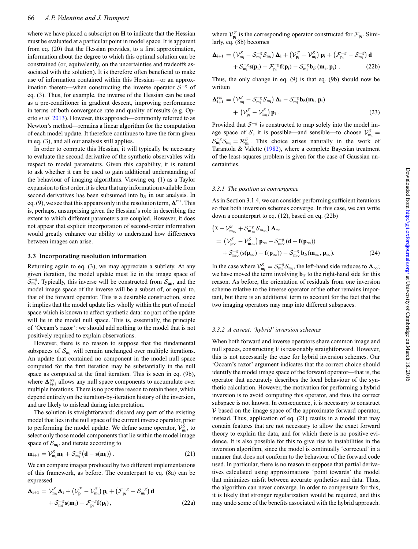where we have placed a subscript on **H** to indicate that the Hessian must be evaluated at a particular point in model space. It is apparent from eq. (20) that the Hessian provides, to a first approximation, information about the degree to which this optimal solution can be constrained (or, equivalently, on the uncertainties and tradeoffs associated with the solution). It is therefore often beneficial to make use of information contained within this Hessian—or an approximation thereto—when constructing the inverse operator *<sup>S</sup>*<sup>−</sup>*<sup>g</sup>* of eq. (3). Thus, for example, the inverse of the Hessian can be used as a pre-conditioner in gradient descent, improving performance in terms of both convergence rate and quality of results (e.g. Operto *et al.* [2013\)](#page-14-31). However, this approach—commonly referred to as Newton's method—remains a linear algorithm for the computation of each model update. It therefore continues to have the form given in eq. (3), and all our analysis still applies.

In order to compute this Hessian, it will typically be necessary to evaluate the second derivative of the synthetic observables with respect to model parameters. Given this capability, it is natural to ask whether it can be used to gain additional understanding of the behaviour of imaging algorithms. Viewing eq. (1) as a Taylor expansion to first order, it is clear that any information available from second derivatives has been subsumed into  $\mathbf{b}_s$  in our analysis. In eq. (9), we see that this appears only in the resolution term,  $\Delta^{\text{res}}$ . This is, perhaps, unsurprising given the Hessian's role in describing the extent to which different parameters are coupled. However, it does not appear that explicit incorporation of second-order information would greatly enhance our ability to understand how differences between images can arise.

#### **3.3 Incorporating resolution information**

Returning again to eq. (3), we may appreciate a subtlety. At any given iteration, the model update must lie in the image space of  $S_{m_i}^{-g}$ . Typically, this inverse will be constructed from  $S_{m_i}$ , and the model image space of the inverse will be a subset of, or equal to, that of the forward operator. This is a desirable construction, since it implies that the model update lies wholly within the part of model space which is known to affect synthetic data: no part of the update will lie in the model null space. This is, essentially, the principle of 'Occam's razor': we should add nothing to the model that is not positively required to explain observations.

However, there is no reason to suppose that the fundamental subspaces of  $S_{m_i}$  will remain unchanged over multiple iterations. An update that contained no component in the model null space computed for the first iteration may be substantially in the null space as computed at the final iteration. This is seen in eq. (9b), where  $\mathbf{\Delta}_{i+1}^{\text{res}}$  allows any null space components to accumulate over multiple iterations. There is no positive reason to retain these, which depend entirely on the iteration-by-iteration history of the inversion, and are likely to mislead during interpretation.

The solution is straightforward: discard any part of the existing model that lies in the null space of the current inverse operator, prior to performing the model update. We define some operator,  $V_{m_i}^S$ , to select only those model components that lie within the model image space of  $S_{m_i}$ , and iterate according to

$$
\mathbf{m}_{i+1} = \mathcal{V}_{m_i}^{\mathcal{S}} \mathbf{m}_i + \mathcal{S}_{m_i}^{-g} \big( \mathbf{d} - \mathbf{s}(\mathbf{m}_i) \big) . \tag{21}
$$

We can compare images produced by two different implementations of this framework, as before. The counterpart to eq. (8a) can be expressed

$$
\Delta_{i+1} = \mathcal{V}_{m_i}^{\mathcal{S}} \Delta_i + \left(\mathcal{V}_{p_i}^{\mathcal{F}} - \mathcal{V}_{m_i}^{\mathcal{S}}\right) \mathbf{p}_i + \left(\mathcal{F}_{p_i}^{-\mathcal{G}} - \mathcal{S}_{m_i}^{-\mathcal{G}}\right) \mathbf{d} + \mathcal{S}_{m_i}^{-\mathcal{G}} \mathbf{s}(m_i) - \mathcal{F}_{p_i}^{-\mathcal{g}} \mathbf{f}(p_i),
$$
\n(22a)

where  $V_{p_i}^{\mathcal{F}}$  is the corresponding operator constructed for  $\mathcal{F}_{p_i}$ . Similarly, eq.  $(8b)$  becomes

$$
\Delta_{i+1} = \left(\mathcal{V}_{m_i}^{\mathcal{S}} - \mathcal{S}_{m_i}^{-g} \mathcal{S}_{m_i}\right) \Delta_i + \left(\mathcal{V}_{p_i}^{\mathcal{F}} - \mathcal{V}_{m_i}^{\mathcal{S}}\right) \mathbf{p}_i + \left(\mathcal{F}_{p_i}^{-g} - \mathcal{S}_{m_i}^{-g}\right) \mathbf{d} + \mathcal{S}_{m_i}^{-g} \mathbf{s}(\mathbf{p}_i) - \mathcal{F}_{p_i}^{-g} \mathbf{f}(\mathbf{p}_i) - \mathcal{S}_{m_i}^{-g} \mathbf{b}_{\mathcal{S}}\left(\mathbf{m}_i, \mathbf{p}_i\right).
$$
 (22b)

Thus, the only change in eq. (9) is that eq. (9b) should now be written

$$
\Delta_{i+1}^{\text{res}} = (\mathcal{V}_{m_i}^{\mathcal{S}} - \mathcal{S}_{m_i}^{-\mathcal{S}} \mathcal{S}_{m_i}) \Delta_i - \mathcal{S}_{m_i}^{-\mathcal{S}} b_S(m_i, p_i) + (\mathcal{V}_{p_i}^{\mathcal{F}} - \mathcal{V}_{m_i}^{\mathcal{S}}) p_i.
$$
\n(23)

Provided that  $S^{-g}$  is constructed to map solely into the model image space of *S*, it is possible—and sensible—to choose  $V_{m_i}^S$  =  $S_{m_i}^{-g} S_{m_i} = \mathcal{R}_{m_i}^S$ . This choice arises naturally in the work of Tarantola & Valette  $(1982)$ , where a complete Bayesian treatment of the least-squares problem is given for the case of Gaussian uncertainties.

#### *3.3.1 The position at convergence*

As in Section 3.1.4, we can consider performing sufficient iterations so that both inversion schemes converge. In this case, we can write down a counterpart to eq. (12), based on eq. (22b)

$$
\begin{split} & \left(\mathcal{I} - \mathcal{V}_{\mathbf{m}_{\infty}}^{S} + \mathcal{S}_{\mathbf{m}_{\infty}}^{-g} \mathcal{S}_{\mathbf{m}_{\infty}}\right) \mathbf{\Delta}_{\infty} \\ & = \left(\mathcal{V}_{p_{\infty}}^{F} - \mathcal{V}_{\mathbf{m}_{\infty}}^{S}\right) \mathbf{p}_{\infty} - \mathcal{S}_{\mathbf{m}_{\infty}}^{-g} (\mathbf{d} - \mathbf{f}(\mathbf{p}_{\infty})) \\ & + \mathcal{S}_{\mathbf{m}_{\infty}}^{-g} (\mathbf{s}(\mathbf{p}_{\infty}) - \mathbf{f}(\mathbf{p}_{\infty})) - \mathcal{S}_{\mathbf{m}_{\infty}}^{-g} \mathbf{b}_{S}(\mathbf{m}_{\infty}, \mathbf{p}_{\infty}). \end{split} \tag{24}
$$

In the case where  $V_{m_i}^S = S_{m_i}^{-g} S_{m_i}$ , the left-hand side reduces to  $\Delta_{\infty}$ ; we have moved the term involving  $\mathbf{b}_s$  to the right-hand side for this reason. As before, the orientation of residuals from one inversion scheme relative to the inverse operator of the other remains important, but there is an additional term to account for the fact that the two imaging operators may map into different subspaces.

#### *3.3.2 A caveat: 'hybrid' inversion schemes*

When both forward and inverse operators share common image and null spaces, constructing  $V$  is reasonably straightforward. However, this is not necessarily the case for hybrid inversion schemes. Our 'Occam's razor' argument indicates that the correct choice should identify the model image space of the forward operator—that is, the operator that accurately describes the local behaviour of the synthetic calculation. However, the motivation for performing a hybrid inversion is to avoid computing this operator, and thus the correct subspace is not known. In consequence, it is necessary to construct *V* based on the image space of the approximate forward operator, instead. Thus, application of eq. (21) results in a model that may contain features that are not necessary to allow the exact forward theory to explain the data, and for which there is no positive evidence. It is also possible for this to give rise to instabilities in the inversion algorithm, since the model is continually 'corrected' in a manner that does not conform to the behaviour of the forward code used. In particular, there is no reason to suppose that partial derivatives calculated using approximations 'point towards' the model that minimizes misfit between accurate synthetics and data. Thus, the algorithm can never converge. In order to compensate for this, it is likely that stronger regularization would be required, and this may undo some of the benefits associated with the hybrid approach.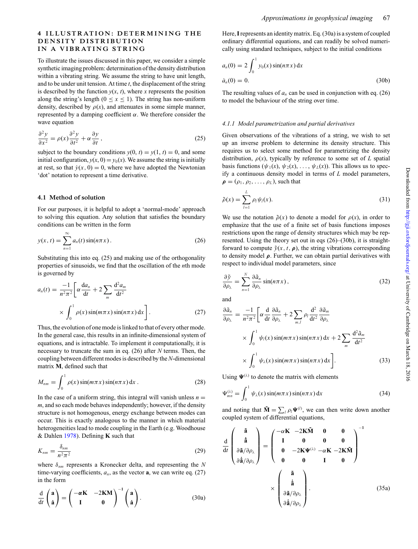#### **4 ILLUSTRATION: DETERMINING THE DENSITY DISTRIBUTION IN A VIBRATING STRING**

To illustrate the issues discussed in this paper, we consider a simple synthetic imaging problem: determination of the density distribution within a vibrating string. We assume the string to have unit length, and to be under unit tension. At time *t*, the displacement of the string is described by the function  $y(x, t)$ , where *x* represents the position along the string's length ( $0 \le x \le 1$ ). The string has non-uniform density, described by  $\rho(x)$ , and attenuates in some simple manner, represented by a damping coefficient α. We therefore consider the wave equation

$$
\frac{\partial^2 y}{\partial x^2} = \rho(x) \frac{\partial^2 y}{\partial t^2} + \alpha \frac{\partial y}{\partial t},
$$
\n(25)

subject to the boundary conditions  $v(0, t) = v(1, t) = 0$ , and some initial configuration,  $y(x, 0) = y_0(x)$ . We assume the string is initially at rest, so that  $\dot{y}(x, 0) = 0$ , where we have adopted the Newtonian 'dot' notation to represent a time derivative.

#### **4.1 Method of solution**

For our purposes, it is helpful to adopt a 'normal-mode' approach to solving this equation. Any solution that satisfies the boundary conditions can be written in the form

$$
y(x, t) = \sum_{n=1}^{\infty} a_n(t) \sin(n\pi x).
$$
 (26)

Substituting this into eq. (25) and making use of the orthogonality properties of sinusoids, we find that the oscillation of the *n*th mode is governed by

$$
a_n(t) = \frac{-1}{n^2 \pi^2} \left[ \alpha \frac{da_n}{dt} + 2 \sum_m \frac{d^2 a_m}{dt^2} \times \int_0^1 \rho(x) \sin(m \pi x) \sin(n \pi x) dx \right].
$$
 (27)

Thus, the evolution of one mode is linked to that of every other mode. In the general case, this results in an infinite-dimensional system of equations, and is intractable. To implement it computationally, it is necessary to truncate the sum in eq. (26) after *N* terms. Then, the coupling between different modes is described by the*N*-dimensional matrix **M**, defined such that

$$
M_{nm} = \int_0^1 \rho(x) \sin(m\pi x) \sin(n\pi x) dx.
$$
 (28)

In the case of a uniform string, this integral will vanish unless  $n =$ *m*, and so each mode behaves independently; however, if the density structure is not homogenous, energy exchange between modes can occur. This is exactly analogous to the manner in which material heterogeneities lead to mode coupling in the Earth (e.g. Woodhouse & Dahlen [1978\)](#page-14-32). Defining **K** such that

$$
K_{nm} = \frac{\delta_{nm}}{n^2 \pi^2} \tag{29}
$$

where δ*nm* represents a Kronecker delta, and representing the *N* time-varying coefficients,  $a_n$ , as the vector **a**, we can write eq. (27) in the form

$$
\frac{d}{dt} \begin{pmatrix} a \\ \dot{a} \end{pmatrix} = \begin{pmatrix} -\alpha K & -2KM \\ I & 0 \end{pmatrix}^{-1} \begin{pmatrix} a \\ \dot{a} \end{pmatrix}.
$$
 (30a)

Here,**I**represents an identity matrix. Eq. (30a) is a system of coupled ordinary differential equations, and can readily be solved numerically using standard techniques, subject to the initial conditions

$$
a_n(0) = 2 \int_0^1 y_0(x) \sin(n\pi x) dx
$$
  

$$
\dot{a}_n(0) = 0.
$$
 (30b)

The resulting values of  $a_n$  can be used in conjunction with eq. (26) to model the behaviour of the string over time.

#### *4.1.1 Model parametrization and partial derivatives*

Given observations of the vibrations of a string, we wish to set up an inverse problem to determine its density structure. This requires us to select some method for parametrizing the density distribution,  $\rho(x)$ , typically by reference to some set of *L* spatial basis functions  $(\psi_1(x), \psi_2(x), \ldots, \psi_L(x))$ . This allows us to specify a continuous density model in terms of *L* model parameters,  $\rho = (\rho_1, \rho_2, \ldots, \rho_L)$ , such that

$$
\tilde{\rho}(x) = \sum_{l=1}^{L} \rho_l \psi_l(x). \tag{31}
$$

We use the notation  $\tilde{\rho}(x)$  to denote a model for  $\rho(x)$ , in order to emphasize that the use of a finite set of basis functions imposes restrictions upon the range of density structures which may be represented. Using the theory set out in eqs (26)–(30b), it is straightforward to compute  $\tilde{v}(x, t, \rho)$ , the string vibrations corresponding to density model  $\rho$ . Further, we can obtain partial derivatives with respect to individual model parameters, since

$$
\frac{\partial \tilde{y}}{\partial \rho_{\lambda}} = \sum_{n=1}^{N} \frac{\partial \tilde{a}_n}{\partial \rho_{\lambda}} \sin(n\pi x), \qquad (32)
$$

and

$$
\frac{\partial \tilde{a}_n}{\partial \rho_\lambda} = \frac{-1}{n^2 \pi^2} \left[ \alpha \frac{d}{dt} \frac{\partial \tilde{a}_n}{\partial \rho_\lambda} + 2 \sum_{m,l} \rho_l \frac{d^2}{dt^2} \frac{\partial \tilde{a}_m}{\partial \rho_\lambda} \times \int_0^1 \psi_l(x) \sin(m \pi x) \sin(n \pi x) dx + 2 \sum_m \frac{d^2 \tilde{a}_m}{dt^2} \times \int_0^1 \psi_\lambda(x) \sin(m \pi x) \sin(n \pi x) dx \right].
$$
\n(33)

Using  $\Psi^{(\lambda)}$  to denote the matrix with elements

$$
\Psi_{mn}^{(\lambda)} = \int_0^1 \psi_\lambda(x) \sin(m\pi x) \sin(n\pi x) dx
$$
\n(34)

and noting that  $\tilde{\mathbf{M}} = \sum_l \rho_l \Psi^{(l)}$  $\tilde{\mathbf{M}} = \sum_l \rho_l \Psi^{(l)}$  $\tilde{\mathbf{M}} = \sum_l \rho_l \Psi^{(l)}$ , we can then write down another coupled system of differential equations,

$$
\frac{\mathrm{d}}{\mathrm{d}t} \begin{pmatrix} \tilde{\mathbf{a}} \\ \dot{\tilde{\mathbf{a}}} \\ \frac{\partial \tilde{\mathbf{a}}}{\partial \rho_{\lambda}} \\ \frac{\partial \tilde{\mathbf{a}}}{\partial \rho_{\lambda}} \end{pmatrix} = \begin{pmatrix} -\alpha \mathbf{K} & -2\mathbf{K} \tilde{\mathbf{M}} & \mathbf{0} & \mathbf{0} \\ \mathbf{I} & \mathbf{0} & \mathbf{0} & \mathbf{0} \\ \mathbf{0} & -2\mathbf{K} \Psi^{(\lambda)} & -\alpha \mathbf{K} & -2\mathbf{K} \tilde{\mathbf{M}} \\ \mathbf{0} & \mathbf{0} & \mathbf{I} & \mathbf{0} \end{pmatrix}^{-1}
$$
\n
$$
\times \begin{pmatrix} \tilde{\mathbf{a}} \\ \tilde{\mathbf{a}} \\ \frac{\partial \tilde{\mathbf{a}}}{\partial \rho_{\lambda}} \\ \frac{\partial \tilde{\mathbf{a}}}{\partial \rho_{\lambda}} \end{pmatrix} .
$$
\n(35a)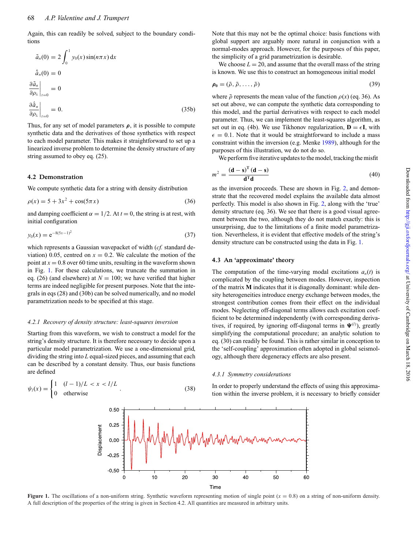Again, this can readily be solved, subject to the boundary conditions

$$
\tilde{a}_n(0) = 2 \int_0^1 y_0(x) \sin(n\pi x) dx
$$
  
\n
$$
\dot{\tilde{a}}_n(0) = 0
$$
  
\n
$$
\frac{\partial \tilde{a}_n}{\partial \rho_\lambda}\Big|_{t=0} = 0
$$
  
\n
$$
\frac{\partial \dot{\tilde{a}}_n}{\partial \rho_\lambda}\Big|_{t=0} = 0.
$$
\n(35b)

Thus, for any set of model parameters  $\rho$ , it is possible to compute synthetic data and the derivatives of those synthetics with respect to each model parameter. This makes it straightforward to set up a linearized inverse problem to determine the density structure of any string assumed to obey eq. (25).

#### **4.2 Demonstration**

We compute synthetic data for a string with density distribution

$$
\rho(x) = 5 + 3x^2 + \cos(5\pi x)
$$
\n(36)

and damping coefficient  $\alpha = 1/2$ . At  $t = 0$ , the string is at rest, with initial configuration

$$
y_0(x) = e^{-8(5x-1)^2}
$$
 (37)

which represents a Gaussian wavepacket of width (*cf.* standard deviation) 0.05, centred on  $x = 0.2$ . We calculate the motion of the point at  $x = 0.8$  over 60 time units, resulting in the waveform shown in Fig. [1.](#page-9-0) For these calculations, we truncate the summation in eq. (26) (and elsewhere) at  $N = 100$ ; we have verified that higher terms are indeed negligible for present purposes. Note that the integrals in eqs (28) and (30b) can be solved numerically, and no model parametrization needs to be specified at this stage.

#### *4.2.1 Recovery of density structure: least-squares inversion*

Starting from this waveform, we wish to construct a model for the string's density structure. It is therefore necessary to decide upon a particular model parametrization. We use a one-dimensional grid, dividing the string into *L* equal-sized pieces, and assuming that each can be described by a constant density. Thus, our basis functions are defined

<span id="page-9-0"></span>
$$
\psi_l(x) = \begin{cases} 1 & (l-1)/L < x < l/L \\ 0 & \text{otherwise} \end{cases} . \tag{38}
$$

0.50

 $0.25$ 

 $-0.25$ 

 $-0.50$ 

 $10$ 

**Displacement**  $0.00$  Note that this may not be the optimal choice: basis functions with global support are arguably more natural in conjunction with a normal-modes approach. However, for the purposes of this paper, the simplicity of a grid parametrization is desirable.

We choose  $L = 20$ , and assume that the overall mass of the string is known. We use this to construct an homogeneous initial model

$$
\boldsymbol{\rho}_0 = (\bar{\rho}, \bar{\rho}, \dots, \bar{\rho}) \tag{39}
$$

where  $\bar{\rho}$  represents the mean value of the function  $\rho(x)$  (eq. 36). As set out above, we can compute the synthetic data corresponding to this model, and the partial derivatives with respect to each model parameter. Thus, we can implement the least-squares algorithm, as set out in eq. (4b). We use Tikhonov regularization,  $\mathbf{D} = \epsilon \mathbf{I}$ , with  $\epsilon = 0.1$ . Note that it would be straightforward to include a mass constraint within the inversion (e.g. Menke [1989\)](#page-14-18), although for the purposes of this illustration, we do not do so.

We perform five iterative updates to the model, tracking the misfit

$$
m^2 = \frac{\left(\mathbf{d} - \mathbf{s}\right)^T \left(\mathbf{d} - \mathbf{s}\right)}{\mathbf{d}^T \mathbf{d}}
$$
(40)

as the inversion proceeds. These are shown in Fig. [2,](#page-10-0) and demonstrate that the recovered model explains the available data almost perfectly. This model is also shown in Fig. [2,](#page-10-0) along with the 'true' density structure (eq. 36). We see that there is a good visual agreement between the two, although they do not match exactly: this is unsurprising, due to the limitations of a finite model parametrization. Nevertheless, it is evident that effective models of the string's density structure can be constructed using the data in Fig. [1.](#page-9-0)

#### **4.3 An 'approximate' theory**

The computation of the time-varying modal excitations  $a_n(t)$  is complicated by the coupling between modes. However, inspection of the matrix **M** indicates that it is diagonally dominant: while density heterogeneities introduce energy exchange between modes, the strongest contribution comes from their effect on the individual modes. Neglecting off-diagonal terms allows each excitation coefficient to be determined independently (with corresponding derivatives, if required, by ignoring off-diagonal terms in  $\Psi^{(l)}$ ), greatly simplifying the computational procedure; an analytic solution to eq. (30) can readily be found. This is rather similar in conception to the 'self-coupling' approximation often adopted in global seismology, although there degeneracy effects are also present.

#### *4.3.1 Symmetry considerations*

 $40$ 

50

In order to properly understand the effects of using this approximation within the inverse problem, it is necessary to briefly consider

60



30

Time

20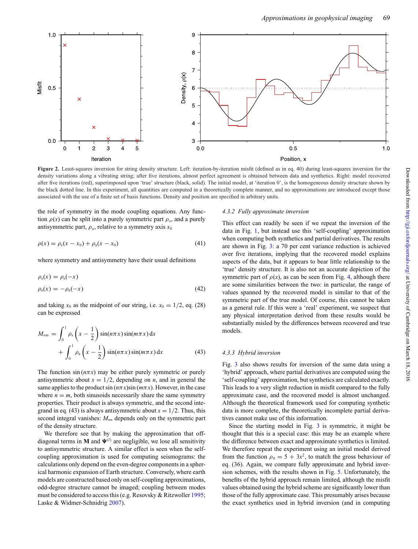<span id="page-10-0"></span>

Figure 2. Least-squares inversion for string density structure. Left: iteration-by-iteration misfit (defined as in eq. 40) during least-squares inversion for the density variations along a vibrating string; after five iterations, almost perfect agreement is obtained between data and synthetics. Right: model recovered after five iterations (red), superimposed upon 'true' structure (black, solid). The initial model, at 'iteration 0', is the homogeneous density structure shown by the black dotted line. In this experiment, all quantities are computed in a theoretically complete manner, and no approximations are introduced except those associated with the use of a finite set of basis functions. Density and position are specified in arbitrary units.

the role of symmetry in the mode coupling equations. Any function  $\rho(x)$  can be split into a purely symmetric part  $\rho_s$ , and a purely antisymmetric part,  $\rho_a$ , relative to a symmetry axis  $x_0$ 

$$
\rho(x) = \rho_s(x - x_0) + \rho_a(x - x_0)
$$
\n(41)

where symmetry and antisymmetry have their usual definitions

$$
\rho_s(x) = \rho_s(-x)
$$
  
\n
$$
\rho_a(x) = -\rho_a(-x)
$$
\n(42)

and taking  $x_0$  as the midpoint of our string, i.e.  $x_0 = 1/2$ , eq. (28) can be expressed

$$
M_{nm} = \int_0^1 \rho_s \left(x - \frac{1}{2}\right) \sin(n\pi x) \sin(m\pi x) dx
$$

$$
+ \int_0^1 \rho_a \left(x - \frac{1}{2}\right) \sin(n\pi x) \sin(m\pi x) dx
$$
(43)

The function  $sin(n\pi x)$  may be either purely symmetric or purely antisymmetric about  $x = 1/2$ , depending on *n*, and in general the same applies to the product  $\sin(n\pi x)\sin(m\pi x)$ . However, in the case where  $n = m$ , both sinusoids necessarily share the same symmetry properties. Their product is always symmetric, and the second integrand in eq. (43) is always antisymmetric about  $x = 1/2$ . Thus, this second integral vanishes:  $M_{nn}$  depends only on the symmetric part of the density structure.

We therefore see that by making the approximation that offdiagonal terms in **M** and  $\Psi^{(l)}$  are negligible, we lose all sensitivity to antisymmetric structure. A similar effect is seen when the selfcoupling approximation is used for computing seismograms: the calculations only depend on the even-degree components in a spherical harmonic expansion of Earth structure. Conversely, where earth models are constructed based only on self-coupling approximations, odd-degree structure cannot be imaged; coupling between modes must be considered to access this (e.g. Resovsky & Ritzwoller [1995;](#page-14-33) Laske & Widmer-Schnidrig [2007\)](#page-14-34).

#### *4.3.2 Fully approximate inversion*

This effect can readily be seen if we repeat the inversion of the data in Fig. [1,](#page-9-0) but instead use this 'self-coupling' approximation when computing both synthetics and partial derivatives. The results are shown in Fig. [3:](#page-11-0) a 70 per cent variance reduction is achieved over five iterations, implying that the recovered model explains aspects of the data, but it appears to bear little relationship to the 'true' density structure. It is also not an accurate depiction of the symmetric part of  $\rho(x)$ , as can be seen from Fig. [4,](#page-11-1) although there are some similarities between the two: in particular, the range of values spanned by the recovered model is similar to that of the symmetric part of the true model. Of course, this cannot be taken as a general rule. If this were a 'real' experiment, we suspect that any physical interpretation derived from these results would be substantially misled by the differences between recovered and true models.

#### *4.3.3 Hybrid inversion*

Fig. [3](#page-11-0) also shows results for inversion of the same data using a 'hybrid' approach, where partial derivatives are computed using the 'self-coupling' approximation, but synthetics are calculated exactly. This leads to a very slight reduction in misfit compared to the fully approximate case, and the recovered model is almost unchanged. Although the theoretical framework used for computing synthetic data is more complete, the theoretically incomplete partial derivatives cannot make use of this information.

Since the starting model in Fig. [3](#page-11-0) is symmetric, it might be thought that this is a special case: this may be an example where the difference between exact and approximate synthetics is limited. We therefore repeat the experiment using an initial model derived from the function  $\rho_0 = 5 + 3x^2$ , to match the gross behaviour of eq. (36). Again, we compare fully approximate and hybrid inversion schemes, with the results shown in Fig. [5.](#page-12-0) Unfortunately, the benefits of the hybrid approach remain limited, although the misfit values obtained using the hybrid scheme are significantly lower than those of the fully approximate case. This presumably arises because the exact synthetics used in hybrid inversion (and in computing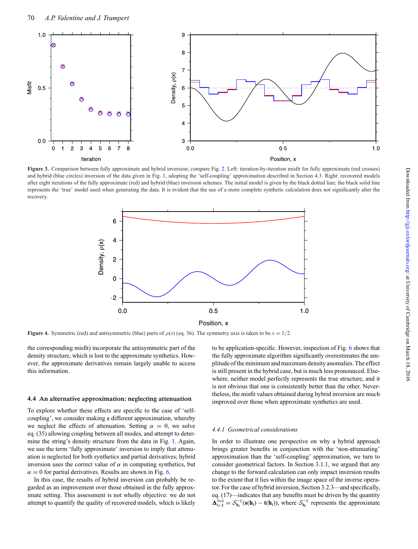<span id="page-11-0"></span>

<span id="page-11-1"></span>Figure 3. Comparison between fully approximate and hybrid inversion; compare Fig. [2.](#page-10-0) Left: iteration-by-iteration misfit for fully approximate (red crosses) and hybrid (blue circles) inversion of the data given in Fig. [1,](#page-9-0) adopting the 'self-coupling' approximation described in Section 4.3. Right: recovered models after eight iterations of the fully approximate (red) and hybrid (blue) inversion schemes. The initial model is given by the black dotted line; the black solid line represents the 'true' model used when generating the data. It is evident that the use of a more complete synthetic calculation does not significantly alter the recovery.



**Figure 4.** Symmetric (red) and antisymmetric (blue) parts of  $\rho(x)$  (eq. 36). The symmetry axis is taken to be  $x = 1/2$ .

the corresponding misfit) incorporate the antisymmetric part of the density structure, which is lost to the approximate synthetics. However, the approximate derivatives remain largely unable to access this information.

#### **4.4 An alternative approximation: neglecting attenuation**

To explore whether these effects are specific to the case of 'selfcoupling', we consider making a different approximation, whereby we neglect the effects of attenuation. Setting  $\alpha = 0$ , we solve eq. (35) allowing coupling between all modes, and attempt to determine the string's density structure from the data in Fig. [1.](#page-9-0) Again, we use the term 'fully approximate' inversion to imply that attenuation is neglected for both synthetics and partial derivatives; hybrid inversion uses the correct value of  $\alpha$  in computing synthetics, but  $\alpha = 0$  for partial derivatives. Results are shown in Fig. [6.](#page-12-1)

In this case, the results of hybrid inversion can probably be regarded as an improvement over those obtained in the fully approximate setting. This assessment is not wholly objective: we do not attempt to quantify the quality of recovered models, which is likely to be application-specific. However, inspection of Fig. [6](#page-12-1) shows that the fully approximate algorithm significantly overestimates the amplitude of the minimum and maximum density anomalies. The effect is still present in the hybrid case, but is much less pronounced. Elsewhere, neither model perfectly represents the true structure, and it is not obvious that one is consistently better than the other. Nevertheless, the misfit values obtained during hybrid inversion are much improved over those when approximate synthetics are used.

#### *4.4.1 Geometrical considerations*

In order to illustrate one perspective on why a hybrid approach brings greater benefits in conjunction with the 'non-attenuating' approximation than the 'self-coupling' approximation, we turn to consider geometrical factors. In Section 3.1.1, we argued that any change to the forward calculation can only impact inversion results to the extent that it lies within the image space of the inverse operator. For the case of hybrid inversion, Section 3.2.3—and specifically, eq. (17)—indicates that any benefits must be driven by the quantity  $\Delta_{i+1}^{\text{fwd}} = S_{h_i}^{-g}(\mathbf{s}(\mathbf{h}_i) - \mathbf{t}(\mathbf{h}_i))$ , where  $S_{h_i}^{-g}$  represents the approximate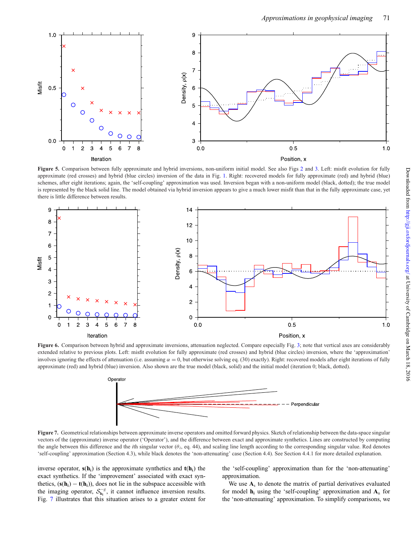<span id="page-12-0"></span>

**Figure 5.** Comparison between fully approximate and hybrid inversions, non-uniform initial model. See also Figs [2](#page-10-0) and [3.](#page-11-0) Left: misfit evolution for fully approximate (red crosses) and hybrid (blue circles) inversion of the data in Fig. [1.](#page-9-0) Right: recovered models for fully approximate (red) and hybrid (blue) schemes, after eight iterations; again, the 'self-coupling' approximation was used. Inversion began with a non-uniform model (black, dotted); the true model is represented by the black solid line. The model obtained via hybrid inversion appears to give a much lower misfit than that in the fully approximate case, yet there is little difference between results.

<span id="page-12-1"></span>

<span id="page-12-2"></span>**Figure 6.** Comparison between hybrid and approximate inversions, attenuation neglected. Compare especially Fig. [3;](#page-11-0) note that vertical axes are considerably extended relative to previous plots. Left: misfit evolution for fully approximate (red crosses) and hybrid (blue circles) inversion, where the 'approximation' involves ignoring the effects of attenuation (i.e. assuming  $\alpha = 0$ , but otherwise solving eq. (30) exactly). Right: recovered models after eight iterations of fully approximate (red) and hybrid (blue) inversion. Also shown are the true model (black, solid) and the initial model (iteration 0; black, dotted).



Figure 7. Geometrical relationships between approximate inverse operators and omitted forward physics. Sketch of relationship between the data-space singular vectors of the (approximate) inverse operator ('Operator'), and the difference between exact and approximate synthetics. Lines are constructed by computing the angle between this difference and the *i*th singular vector (θ*i*, eq. 44), and scaling line length according to the corresponding singular value. Red denotes 'self-coupling' approximation (Section 4.3), while black denotes the 'non-attenuating' case (Section 4.4). See Section 4.4.1 for more detailed explanation.

inverse operator,  $s(h_i)$  is the approximate synthetics and  $t(h_i)$  the exact synthetics. If the 'improvement' associated with exact synthetics,  $(s(h_i) - t(h_i))$ , does not lie in the subspace accessible with the imaging operator,  $S_{h_i}^{-g}$ , it cannot influence inversion results. Fig. [7](#page-12-2) illustrates that this situation arises to a greater extent for

the 'self-coupling' approximation than for the 'non-attenuating' approximation.

We use  $A_s$  to denote the matrix of partial derivatives evaluated for model  $h_i$  using the 'self-coupling' approximation and  $A_n$  for the 'non-attenuating' approximation. To simplify comparisons, we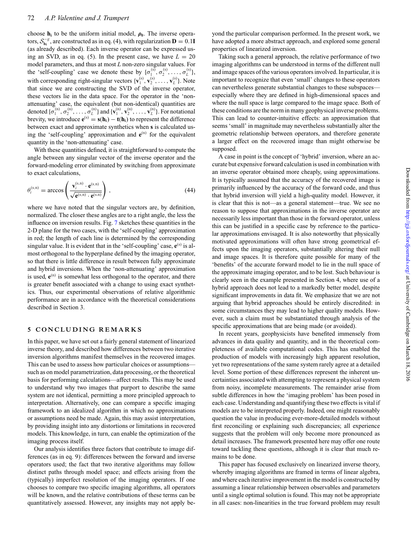choose  $h_i$  to be the uniform initial model,  $\rho_0$ . The inverse operators,  $S_{\mathbf{h}_i}^{-g}$ , are constructed as in eq. (4), with regularization  $\mathbf{D} = 0.1\mathbf{I}$ (as already described). Each inverse operator can be expressed using an SVD, as in eq. (5). In the present case, we have  $L = 20$ model parameters, and thus at most *L* non-zero singular values. For the 'self-coupling' case we denote these by  $\{\sigma_1^{(s)}, \sigma_2^{(s)}, \ldots, \sigma_L^{(s)}\}$ , with corresponding right-singular vectors  $\{v_1^{(s)}, v_2^{(s)}, \ldots, v_L^{(s)}\}$ . Note that since we are constructing the SVD of the inverse operator, these vectors lie in the data space. For the operator in the 'nonattenuating' case, the equivalent (but non-identical) quantities are denoted  $\{\sigma_1^{(n)}, \sigma_2^{(n)}, \ldots, \sigma_L^{(n)}\}$  and  $\{\mathbf{v}_1^{(n)}, \mathbf{v}_2^{(n)}, \ldots, \mathbf{v}_L^{(n)}\}$ . For notational brevity, we introduce  $e^{(s)} = s(h_i) - t(h_i)$  to represent the difference between exact and approximate synthetics when **s** is calculated using the 'self-coupling' approximation and  $e^{(n)}$  for the equivalent quantity in the 'non-attenuating' case.

With these quantities defined, it is straightforward to compute the angle between any singular vector of the inverse operator and the forward-modeling error eliminated by switching from approximate to exact calculations,

$$
\theta_i^{(s,n)} = \arccos\left(\frac{\mathbf{v}_i^{(s,n)} \cdot \mathbf{e}^{(s,n)}}{\sqrt{\mathbf{e}^{(s,n)} \cdot \mathbf{e}^{(s,n)}}}\right),\tag{44}
$$

where we have noted that the singular vectors are, by definition, normalized. The closer these angles are to a right angle, the less the influence on inversion results. Fig. [7](#page-12-2) sketches these quantities in the 2-D plane for the two cases, with the 'self-coupling' approximation in red; the length of each line is determined by the corresponding singular value. It is evident that in the 'self-coupling' case,  $e^{(s)}$  is almost orthogonal to the hyperplane defined by the imaging operator, so that there is little difference in result between fully approximate and hybrid inversions. When the 'non-attenuating' approximation is used,  $e^{(n)}$  is somewhat less orthogonal to the operator, and there is greater benefit associated with a change to using exact synthetics. Thus, our experimental observations of relative algorithmic performance are in accordance with the theoretical considerations described in Section 3.

#### **5 CONCLUDING REMARKS**

In this paper, we have set out a fairly general statement of linearized inverse theory, and described how differences between two iterative inversion algorithms manifest themselves in the recovered images. This can be used to assess how particular choices or assumptions such as on model parametrization, data processing, or the theoretical basis for performing calculations—affect results. This may be used to understand why two images that purport to describe the same system are not identical, permitting a more principled approach to interpretation. Alternatively, one can compare a specific imaging framework to an idealized algorithm in which no approximations or assumptions need be made. Again, this may assist interpretation, by providing insight into any distortions or limitations in recovered models. This knowledge, in turn, can enable the optimization of the imaging process itself.

Our analysis identifies three factors that contribute to image differences (as in eq. 9): differences between the forward and inverse operators used; the fact that two iterative algorithms may follow distinct paths through model space; and effects arising from the (typically) imperfect resolution of the imaging operators. If one chooses to compare two specific imaging algorithms, all operators will be known, and the relative contributions of these terms can be quantitatively assessed. However, any insights may not apply beyond the particular comparison performed. In the present work, we have adopted a more abstract approach, and explored some general properties of linearized inversion.

Taking such a general approach, the relative performance of two imaging algorithms can be understood in terms of the different null and image spaces of the various operators involved. In particular, it is important to recognize that even 'small' changes to these operators can nevertheless generate substantial changes to these subspaces especially where they are defined in high-dimensional spaces and where the null space is large compared to the image space. Both of these conditions are the norm in many geophysical inverse problems. This can lead to counter-intuitive effects: an approximation that seems 'small' in magnitude may nevertheless substantially alter the geometric relationship between operators, and therefore generate a larger effect on the recovered image than might otherwise be supposed.

A case in point is the concept of 'hybrid' inversion, where an accurate but expensive forward calculation is used in combination with an inverse operator obtained more cheaply, using approximations. It is typically assumed that the accuracy of the recovered image is primarily influenced by the accuracy of the forward code, and thus that hybrid inversion will yield a high-quality model. However, it is clear that this is not—as a general statement—true. We see no reason to suppose that approximations in the inverse operator are necessarily less important than those in the forward operator, unless this can be justified in a specific case by reference to the particular approximations envisaged. It is also noteworthy that physically motivated approximations will often have strong geometrical effects upon the imaging operators, substantially altering their null and image spaces. It is therefore quite possible for many of the 'benefits' of the accurate forward model to lie in the null space of the approximate imaging operator, and to be lost. Such behaviour is clearly seen in the example presented in Section 4, where use of a hybrid approach does not lead to a markedly better model, despite significant improvements in data fit. We emphasize that we are not arguing that hybrid approaches should be entirely discredited: in some circumstances they may lead to higher quality models. However, such a claim must be substantiated through analysis of the specific approximations that are being made (or avoided).

In recent years, geophysicists have benefited immensely from advances in data quality and quantity, and in the theoretical completeness of available computational codes. This has enabled the production of models with increasingly high apparent resolution, yet two representations of the same system rarely agree at a detailed level. Some portion of these differences represent the inherent uncertainties associated with attempting to represent a physical system from noisy, incomplete measurements. The remainder arise from subtle differences in how the 'imaging problem' has been posed in each case. Understanding and quantifying these two effects is vital if models are to be interpreted properly. Indeed, one might reasonably question the value in producing ever-more-detailed models without first reconciling or explaining such discrepancies; all experience suggests that the problem will only become more pronounced as detail increases. The framework presented here may offer one route toward tackling these questions, although it is clear that much remains to be done.

This paper has focused exclusively on linearized inverse theory, whereby imaging algorithms are framed in terms of linear algebra, and where each iterative improvement in the model is constructed by assuming a linear relationship between observables and parameters until a single optimal solution is found. This may not be appropriate in all cases: non-linearities in the true forward problem may result